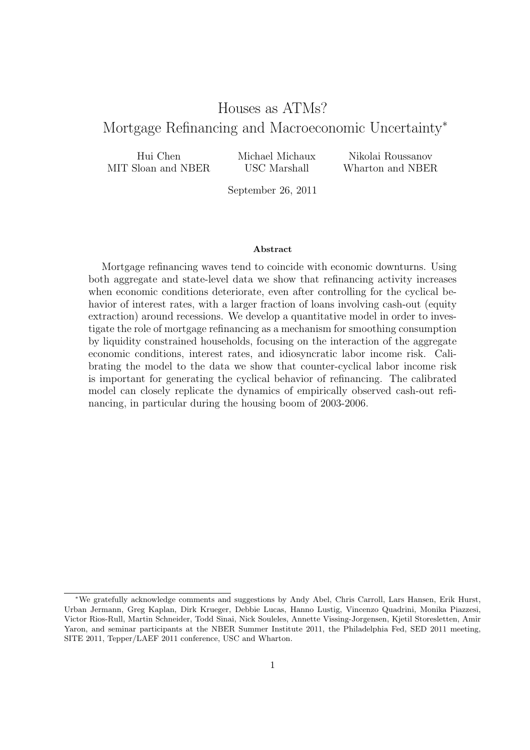# Houses as ATMs? Mortgage Refinancing and Macroeconomic Uncertainty<sup>\*</sup>

Hui Chen MIT Sloan and NBER Michael Michaux USC Marshall

Nikolai Roussanov Wharton and NBER

September 26, 2011

#### Abstract

Mortgage refinancing waves tend to coincide with economic downturns. Using both aggregate and state-level data we show that refinancing activity increases when economic conditions deteriorate, even after controlling for the cyclical behavior of interest rates, with a larger fraction of loans involving cash-out (equity extraction) around recessions. We develop a quantitative model in order to investigate the role of mortgage refinancing as a mechanism for smoothing consumption by liquidity constrained households, focusing on the interaction of the aggregate economic conditions, interest rates, and idiosyncratic labor income risk. Calibrating the model to the data we show that counter-cyclical labor income risk is important for generating the cyclical behavior of refinancing. The calibrated model can closely replicate the dynamics of empirically observed cash-out refinancing, in particular during the housing boom of 2003-2006.

<sup>§</sup>We gratefully acknowledge comments and suggestions by Andy Abel, Chris Carroll, Lars Hansen, Erik Hurst, Urban Jermann, Greg Kaplan, Dirk Krueger, Debbie Lucas, Hanno Lustig, Vincenzo Quadrini, Monika Piazzesi, Victor Rios-Rull, Martin Schneider, Todd Sinai, Nick Souleles, Annette Vissing-Jorgensen, Kjetil Storesletten, Amir Yaron, and seminar participants at the NBER Summer Institute 2011, the Philadelphia Fed, SED 2011 meeting, SITE 2011, Tepper/LAEF 2011 conference, USC and Wharton.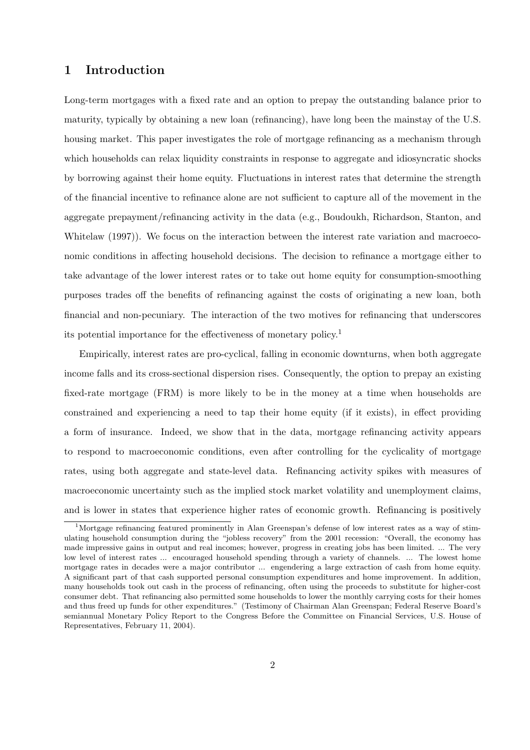### 1 Introduction

Long-term mortgages with a fixed rate and an option to prepay the outstanding balance prior to maturity, typically by obtaining a new loan (refinancing), have long been the mainstay of the U.S. housing market. This paper investigates the role of mortgage refinancing as a mechanism through which households can relax liquidity constraints in response to aggregate and idiosyncratic shocks by borrowing against their home equity. Fluctuations in interest rates that determine the strength of the financial incentive to refinance alone are not sufficient to capture all of the movement in the aggregate prepayment/refinancing activity in the data (e.g., Boudoukh, Richardson, Stanton, and Whitelaw (1997)). We focus on the interaction between the interest rate variation and macroeconomic conditions in affecting household decisions. The decision to refinance a mortgage either to take advantage of the lower interest rates or to take out home equity for consumption-smoothing purposes trades of the benefits of refinancing against the costs of originating a new loan, both financial and non-pecuniary. The interaction of the two motives for refinancing that underscores its potential importance for the effectiveness of monetary policy.<sup>1</sup>

Empirically, interest rates are pro-cyclical, falling in economic downturns, when both aggregate income falls and its cross-sectional dispersion rises. Consequently, the option to prepay an existing fixed-rate mortgage (FRM) is more likely to be in the money at a time when households are constrained and experiencing a need to tap their home equity (if it exists), in effect providing a form of insurance. Indeed, we show that in the data, mortgage refinancing activity appears to respond to macroeconomic conditions, even after controlling for the cyclicality of mortgage rates, using both aggregate and state-level data. Refinancing activity spikes with measures of macroeconomic uncertainty such as the implied stock market volatility and unemployment claims, and is lower in states that experience higher rates of economic growth. Refinancing is positively

<sup>&</sup>lt;sup>1</sup>Mortgage refinancing featured prominently in Alan Greenspan's defense of low interest rates as a way of stimulating household consumption during the "jobless recovery" from the 2001 recession: "Overall, the economy has made impressive gains in output and real incomes; however, progress in creating jobs has been limited. ... The very low level of interest rates ... encouraged household spending through a variety of channels. ... The lowest home mortgage rates in decades were a major contributor ... engendering a large extraction of cash from home equity. A significant part of that cash supported personal consumption expenditures and home improvement. In addition, many households took out cash in the process of refinancing, often using the proceeds to substitute for higher-cost consumer debt. That refinancing also permitted some households to lower the monthly carrying costs for their homes and thus freed up funds for other expenditures." (Testimony of Chairman Alan Greenspan; Federal Reserve Board's semiannual Monetary Policy Report to the Congress Before the Committee on Financial Services, U.S. House of Representatives, February 11, 2004).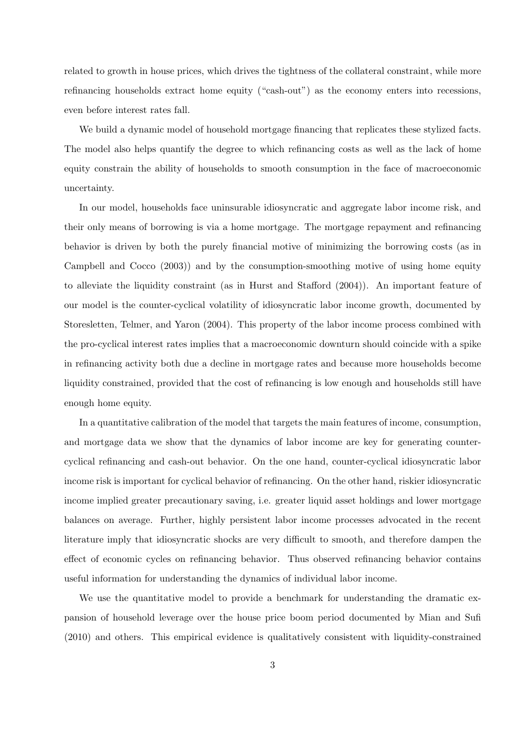related to growth in house prices, which drives the tightness of the collateral constraint, while more refinancing households extract home equity ("cash-out") as the economy enters into recessions, even before interest rates fall.

We build a dynamic model of household mortgage financing that replicates these stylized facts. The model also helps quantify the degree to which refinancing costs as well as the lack of home equity constrain the ability of households to smooth consumption in the face of macroeconomic uncertainty.

In our model, households face uninsurable idiosyncratic and aggregate labor income risk, and their only means of borrowing is via a home mortgage. The mortgage repayment and refinancing behavior is driven by both the purely financial motive of minimizing the borrowing costs (as in Campbell and Cocco (2003)) and by the consumption-smoothing motive of using home equity to alleviate the liquidity constraint (as in Hurst and Stafford (2004)). An important feature of our model is the counter-cyclical volatility of idiosyncratic labor income growth, documented by Storesletten, Telmer, and Yaron (2004). This property of the labor income process combined with the pro-cyclical interest rates implies that a macroeconomic downturn should coincide with a spike in refinancing activity both due a decline in mortgage rates and because more households become liquidity constrained, provided that the cost of refinancing is low enough and households still have enough home equity.

In a quantitative calibration of the model that targets the main features of income, consumption, and mortgage data we show that the dynamics of labor income are key for generating countercyclical refinancing and cash-out behavior. On the one hand, counter-cyclical idiosyncratic labor income risk is important for cyclical behavior of refinancing. On the other hand, riskier idiosyncratic income implied greater precautionary saving, i.e. greater liquid asset holdings and lower mortgage balances on average. Further, highly persistent labor income processes advocated in the recent literature imply that idiosyncratic shocks are very difficult to smooth, and therefore dampen the effect of economic cycles on refinancing behavior. Thus observed refinancing behavior contains useful information for understanding the dynamics of individual labor income.

We use the quantitative model to provide a benchmark for understanding the dramatic expansion of household leverage over the house price boom period documented by Mian and Sufi (2010) and others. This empirical evidence is qualitatively consistent with liquidity-constrained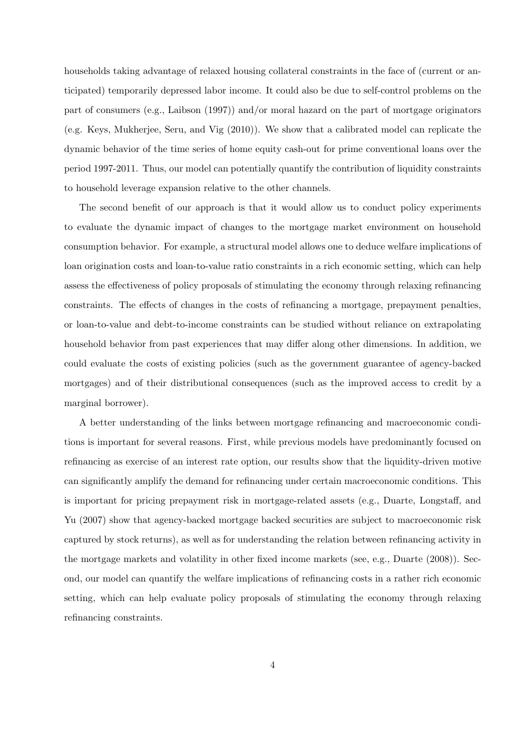households taking advantage of relaxed housing collateral constraints in the face of (current or anticipated) temporarily depressed labor income. It could also be due to self-control problems on the part of consumers (e.g., Laibson (1997)) and/or moral hazard on the part of mortgage originators (e.g. Keys, Mukherjee, Seru, and Vig (2010)). We show that a calibrated model can replicate the dynamic behavior of the time series of home equity cash-out for prime conventional loans over the period 1997-2011. Thus, our model can potentially quantify the contribution of liquidity constraints to household leverage expansion relative to the other channels.

The second benefit of our approach is that it would allow us to conduct policy experiments to evaluate the dynamic impact of changes to the mortgage market environment on household consumption behavior. For example, a structural model allows one to deduce welfare implications of loan origination costs and loan-to-value ratio constraints in a rich economic setting, which can help assess the effectiveness of policy proposals of stimulating the economy through relaxing refinancing constraints. The effects of changes in the costs of refinancing a mortgage, prepayment penalties, or loan-to-value and debt-to-income constraints can be studied without reliance on extrapolating household behavior from past experiences that may differ along other dimensions. In addition, we could evaluate the costs of existing policies (such as the government guarantee of agency-backed mortgages) and of their distributional consequences (such as the improved access to credit by a marginal borrower).

A better understanding of the links between mortgage refinancing and macroeconomic conditions is important for several reasons. First, while previous models have predominantly focused on refinancing as exercise of an interest rate option, our results show that the liquidity-driven motive can significantly amplify the demand for refinancing under certain macroeconomic conditions. This is important for pricing prepayment risk in mortgage-related assets (e.g., Duarte, LongstaÆ, and Yu (2007) show that agency-backed mortgage backed securities are subject to macroeconomic risk captured by stock returns), as well as for understanding the relation between refinancing activity in the mortgage markets and volatility in other fixed income markets (see, e.g., Duarte (2008)). Second, our model can quantify the welfare implications of refinancing costs in a rather rich economic setting, which can help evaluate policy proposals of stimulating the economy through relaxing refinancing constraints.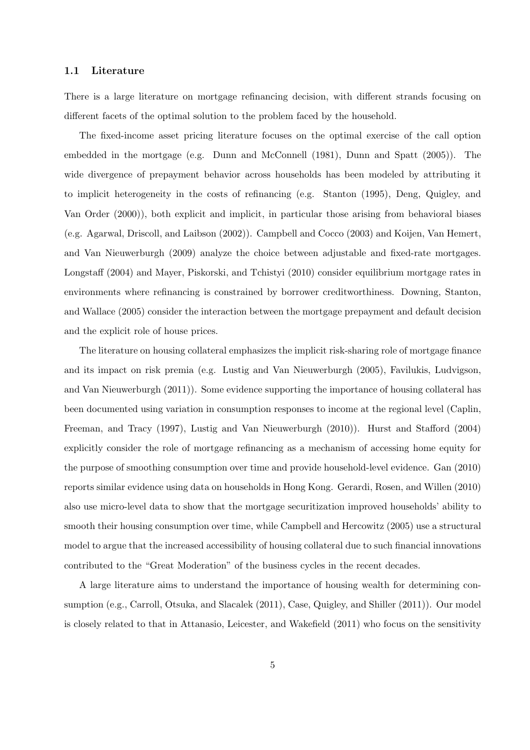### 1.1 Literature

There is a large literature on mortgage refinancing decision, with different strands focusing on different facets of the optimal solution to the problem faced by the household.

The fixed-income asset pricing literature focuses on the optimal exercise of the call option embedded in the mortgage (e.g. Dunn and McConnell (1981), Dunn and Spatt (2005)). The wide divergence of prepayment behavior across households has been modeled by attributing it to implicit heterogeneity in the costs of refinancing (e.g. Stanton (1995), Deng, Quigley, and Van Order (2000)), both explicit and implicit, in particular those arising from behavioral biases (e.g. Agarwal, Driscoll, and Laibson (2002)). Campbell and Cocco (2003) and Koijen, Van Hemert, and Van Nieuwerburgh (2009) analyze the choice between adjustable and fixed-rate mortgages. Longstaff (2004) and Mayer, Piskorski, and Tchistyi (2010) consider equilibrium mortgage rates in environments where refinancing is constrained by borrower creditworthiness. Downing, Stanton, and Wallace (2005) consider the interaction between the mortgage prepayment and default decision and the explicit role of house prices.

The literature on housing collateral emphasizes the implicit risk-sharing role of mortgage finance and its impact on risk premia (e.g. Lustig and Van Nieuwerburgh (2005), Favilukis, Ludvigson, and Van Nieuwerburgh (2011)). Some evidence supporting the importance of housing collateral has been documented using variation in consumption responses to income at the regional level (Caplin, Freeman, and Tracy (1997), Lustig and Van Nieuwerburgh (2010)). Hurst and Stafford (2004) explicitly consider the role of mortgage refinancing as a mechanism of accessing home equity for the purpose of smoothing consumption over time and provide household-level evidence. Gan (2010) reports similar evidence using data on households in Hong Kong. Gerardi, Rosen, and Willen (2010) also use micro-level data to show that the mortgage securitization improved households' ability to smooth their housing consumption over time, while Campbell and Hercowitz (2005) use a structural model to argue that the increased accessibility of housing collateral due to such financial innovations contributed to the "Great Moderation" of the business cycles in the recent decades.

A large literature aims to understand the importance of housing wealth for determining consumption (e.g., Carroll, Otsuka, and Slacalek (2011), Case, Quigley, and Shiller (2011)). Our model is closely related to that in Attanasio, Leicester, and Wakefield (2011) who focus on the sensitivity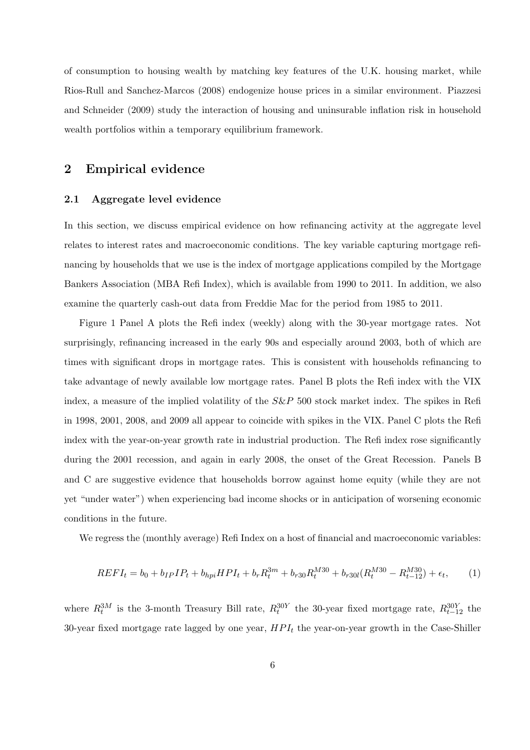of consumption to housing wealth by matching key features of the U.K. housing market, while Rios-Rull and Sanchez-Marcos (2008) endogenize house prices in a similar environment. Piazzesi and Schneider (2009) study the interaction of housing and uninsurable inflation risk in household wealth portfolios within a temporary equilibrium framework.

### 2 Empirical evidence

### 2.1 Aggregate level evidence

In this section, we discuss empirical evidence on how refinancing activity at the aggregate level relates to interest rates and macroeconomic conditions. The key variable capturing mortgage refinancing by households that we use is the index of mortgage applications compiled by the Mortgage Bankers Association (MBA Refi Index), which is available from 1990 to 2011. In addition, we also examine the quarterly cash-out data from Freddie Mac for the period from 1985 to 2011.

Figure 1 Panel A plots the Refi index (weekly) along with the 30-year mortgage rates. Not surprisingly, refinancing increased in the early 90s and especially around 2003, both of which are times with significant drops in mortgage rates. This is consistent with households refinancing to take advantage of newly available low mortgage rates. Panel B plots the Refi index with the VIX index, a measure of the implied volatility of the *S*&*P* 500 stock market index. The spikes in Refi in 1998, 2001, 2008, and 2009 all appear to coincide with spikes in the VIX. Panel C plots the Refi index with the year-on-year growth rate in industrial production. The Refi index rose significantly during the 2001 recession, and again in early 2008, the onset of the Great Recession. Panels B and C are suggestive evidence that households borrow against home equity (while they are not yet "under water") when experiencing bad income shocks or in anticipation of worsening economic conditions in the future.

We regress the (monthly average) Refi Index on a host of financial and macroeconomic variables:

$$
REFI_t = b_0 + b_{IP}IP_t + b_{hpi}HPI_t + b_r R_t^{3m} + b_{r30}R_t^{M30} + b_{r30l}(R_t^{M30} - R_{t-12}^{M30}) + \epsilon_t,
$$
 (1)

where  $R_t^{3M}$  is the 3-month Treasury Bill rate,  $R_t^{30Y}$  the 30-year fixed mortgage rate,  $R_{t-12}^{30Y}$  the 30-year fixed mortgage rate lagged by one year, *HPI<sup>t</sup>* the year-on-year growth in the Case-Shiller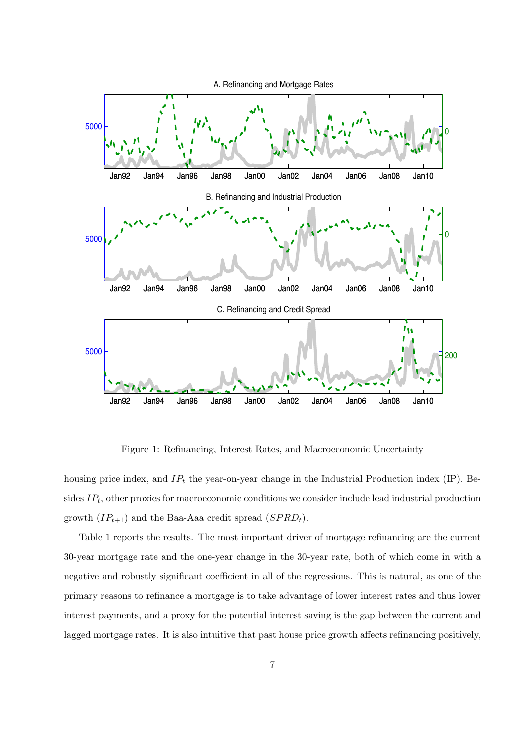

Figure 1: Refinancing, Interest Rates, and Macroeconomic Uncertainty

housing price index, and *IP<sup>t</sup>* the year-on-year change in the Industrial Production index (IP). Besides *IPt*, other proxies for macroeconomic conditions we consider include lead industrial production growth  $(IP_{t+1})$  and the Baa-Aaa credit spread  $(SPRD_t)$ .

Table 1 reports the results. The most important driver of mortgage refinancing are the current 30-year mortgage rate and the one-year change in the 30-year rate, both of which come in with a negative and robustly significant coefficient in all of the regressions. This is natural, as one of the primary reasons to refinance a mortgage is to take advantage of lower interest rates and thus lower interest payments, and a proxy for the potential interest saving is the gap between the current and lagged mortgage rates. It is also intuitive that past house price growth affects refinancing positively,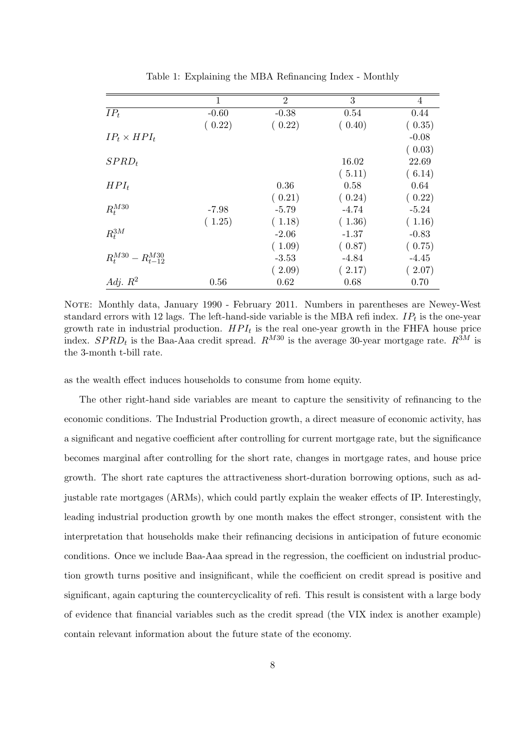|                              | 1       | $\overline{2}$ | 3       | 4       |
|------------------------------|---------|----------------|---------|---------|
| $IP_t$                       | $-0.60$ | $-0.38$        | 0.54    | 0.44    |
|                              | (0.22)  | (0.22)         | (0.40)  | (0.35)  |
| $IP_t \times HPI_t$          |         |                |         | $-0.08$ |
|                              |         |                |         | (0.03)  |
| $SPRD_t$                     |         |                | 16.02   | 22.69   |
|                              |         |                | (5.11)  | (6.14)  |
| $HPI_t$                      |         | 0.36           | 0.58    | 0.64    |
|                              |         | (0.21)         | (0.24)  | (0.22)  |
| $R_t^{M30}$                  | $-7.98$ | $-5.79$        | $-4.74$ | $-5.24$ |
|                              | (1.25)  | (1.18)         | (1.36)  | (1.16)  |
| $R_t^{3M}$                   |         | $-2.06$        | $-1.37$ | $-0.83$ |
|                              |         | (1.09)         | (0.87)  | (0.75)  |
| $R_t^{M30} - R_{t-12}^{M30}$ |         | $-3.53$        | $-4.84$ | $-4.45$ |
|                              |         | (2.09)         | (2.17)  | (2.07)  |
| Adj. $R^2$                   | 0.56    | 0.62           | 0.68    | 0.70    |

Table 1: Explaining the MBA Refinancing Index - Monthly

NOTE: Monthly data, January 1990 - February 2011. Numbers in parentheses are Newey-West standard errors with 12 lags. The left-hand-side variable is the MBA refi index. *IP<sup>t</sup>* is the one-year growth rate in industrial production. *HPI<sup>t</sup>* is the real one-year growth in the FHFA house price index. *SPRD*<sub>t</sub> is the Baa-Aaa credit spread.  $R^{M30}$  is the average 30-year mortgage rate.  $R^{3M}$  is the 3-month t-bill rate.

as the wealth effect induces households to consume from home equity.

The other right-hand side variables are meant to capture the sensitivity of refinancing to the economic conditions. The Industrial Production growth, a direct measure of economic activity, has a significant and negative coefficient after controlling for current mortgage rate, but the significance becomes marginal after controlling for the short rate, changes in mortgage rates, and house price growth. The short rate captures the attractiveness short-duration borrowing options, such as adjustable rate mortgages (ARMs), which could partly explain the weaker eÆects of IP. Interestingly, leading industrial production growth by one month makes the effect stronger, consistent with the interpretation that households make their refinancing decisions in anticipation of future economic conditions. Once we include Baa-Aaa spread in the regression, the coefficient on industrial production growth turns positive and insignificant, while the coefficient on credit spread is positive and significant, again capturing the countercyclicality of refi. This result is consistent with a large body of evidence that financial variables such as the credit spread (the VIX index is another example) contain relevant information about the future state of the economy.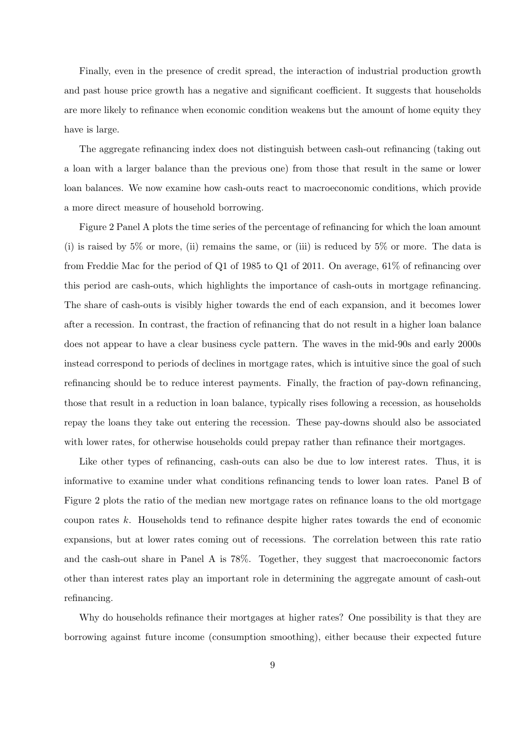Finally, even in the presence of credit spread, the interaction of industrial production growth and past house price growth has a negative and significant coefficient. It suggests that households are more likely to refinance when economic condition weakens but the amount of home equity they have is large.

The aggregate refinancing index does not distinguish between cash-out refinancing (taking out a loan with a larger balance than the previous one) from those that result in the same or lower loan balances. We now examine how cash-outs react to macroeconomic conditions, which provide a more direct measure of household borrowing.

Figure 2 Panel A plots the time series of the percentage of refinancing for which the loan amount (i) is raised by  $5\%$  or more, (ii) remains the same, or (iii) is reduced by  $5\%$  or more. The data is from Freddie Mac for the period of Q1 of 1985 to Q1 of 2011. On average, 61% of refinancing over this period are cash-outs, which highlights the importance of cash-outs in mortgage refinancing. The share of cash-outs is visibly higher towards the end of each expansion, and it becomes lower after a recession. In contrast, the fraction of refinancing that do not result in a higher loan balance does not appear to have a clear business cycle pattern. The waves in the mid-90s and early 2000s instead correspond to periods of declines in mortgage rates, which is intuitive since the goal of such refinancing should be to reduce interest payments. Finally, the fraction of pay-down refinancing, those that result in a reduction in loan balance, typically rises following a recession, as households repay the loans they take out entering the recession. These pay-downs should also be associated with lower rates, for otherwise households could prepay rather than refinance their mortgages.

Like other types of refinancing, cash-outs can also be due to low interest rates. Thus, it is informative to examine under what conditions refinancing tends to lower loan rates. Panel B of Figure 2 plots the ratio of the median new mortgage rates on refinance loans to the old mortgage coupon rates *k*. Households tend to refinance despite higher rates towards the end of economic expansions, but at lower rates coming out of recessions. The correlation between this rate ratio and the cash-out share in Panel A is 78%. Together, they suggest that macroeconomic factors other than interest rates play an important role in determining the aggregate amount of cash-out refinancing.

Why do households refinance their mortgages at higher rates? One possibility is that they are borrowing against future income (consumption smoothing), either because their expected future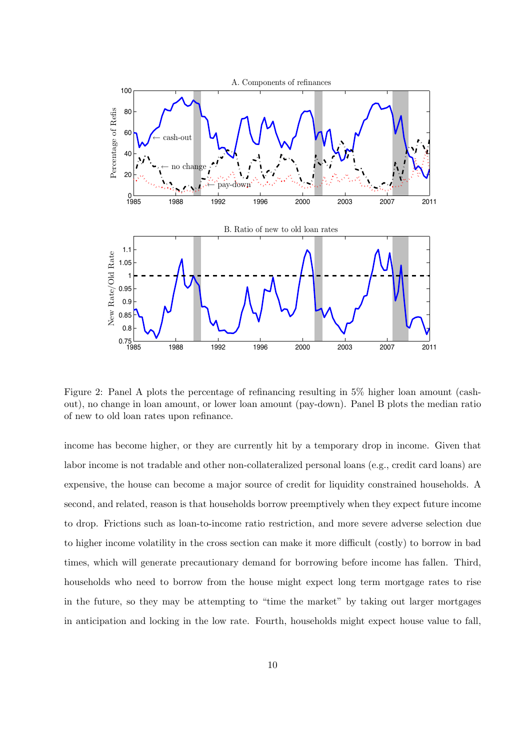

Figure 2: Panel A plots the percentage of refinancing resulting in 5% higher loan amount (cashout), no change in loan amount, or lower loan amount (pay-down). Panel B plots the median ratio of new to old loan rates upon refinance.

income has become higher, or they are currently hit by a temporary drop in income. Given that labor income is not tradable and other non-collateralized personal loans (e.g., credit card loans) are expensive, the house can become a major source of credit for liquidity constrained households. A second, and related, reason is that households borrow preemptively when they expect future income to drop. Frictions such as loan-to-income ratio restriction, and more severe adverse selection due to higher income volatility in the cross section can make it more difficult (costly) to borrow in bad times, which will generate precautionary demand for borrowing before income has fallen. Third, households who need to borrow from the house might expect long term mortgage rates to rise in the future, so they may be attempting to "time the market" by taking out larger mortgages in anticipation and locking in the low rate. Fourth, households might expect house value to fall,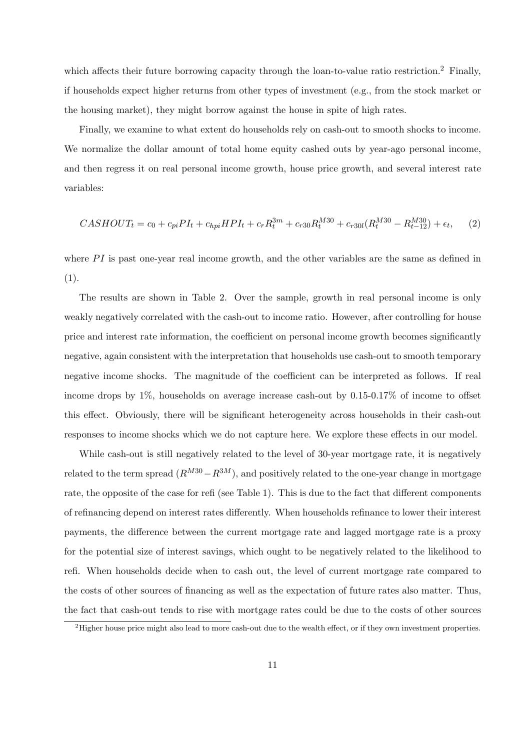which affects their future borrowing capacity through the loan-to-value ratio restriction.<sup>2</sup> Finally, if households expect higher returns from other types of investment (e.g., from the stock market or the housing market), they might borrow against the house in spite of high rates.

Finally, we examine to what extent do households rely on cash-out to smooth shocks to income. We normalize the dollar amount of total home equity cashed outs by year-ago personal income, and then regress it on real personal income growth, house price growth, and several interest rate variables:

$$
CASHOUT_t = c_0 + c_{pi}PI_t + c_{hpi}HPI_t + c_r R_t^{3m} + c_{r30}R_t^{M30} + c_{r30l}(R_t^{M30} - R_{t-12}^{M30}) + \epsilon_t,
$$
 (2)

where PI is past one-year real income growth, and the other variables are the same as defined in (1).

The results are shown in Table 2. Over the sample, growth in real personal income is only weakly negatively correlated with the cash-out to income ratio. However, after controlling for house price and interest rate information, the coefficient on personal income growth becomes significantly negative, again consistent with the interpretation that households use cash-out to smooth temporary negative income shocks. The magnitude of the coefficient can be interpreted as follows. If real income drops by  $1\%$ , households on average increase cash-out by 0.15-0.17% of income to offset this effect. Obviously, there will be significant heterogeneity across households in their cash-out responses to income shocks which we do not capture here. We explore these effects in our model.

While cash-out is still negatively related to the level of 30-year mortgage rate, it is negatively related to the term spread  $(R^{M30} - R^{3M})$ , and positively related to the one-year change in mortgage rate, the opposite of the case for refi (see Table 1). This is due to the fact that different components of refinancing depend on interest rates diÆerently. When households refinance to lower their interest payments, the diÆerence between the current mortgage rate and lagged mortgage rate is a proxy for the potential size of interest savings, which ought to be negatively related to the likelihood to refi. When households decide when to cash out, the level of current mortgage rate compared to the costs of other sources of financing as well as the expectation of future rates also matter. Thus, the fact that cash-out tends to rise with mortgage rates could be due to the costs of other sources

 $2$ Higher house price might also lead to more cash-out due to the wealth effect, or if they own investment properties.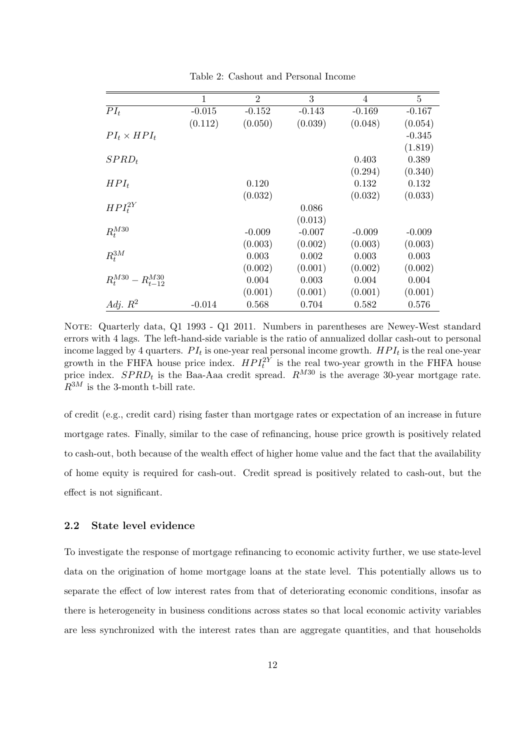|                              | $\mathbf{1}$ | $\overline{2}$ | 3        | 4        | 5        |
|------------------------------|--------------|----------------|----------|----------|----------|
| $PI_t$                       | $-0.015$     | $-0.152$       | $-0.143$ | $-0.169$ | $-0.167$ |
|                              | (0.112)      | (0.050)        | (0.039)  | (0.048)  | (0.054)  |
| $PI_t \times HPI_t$          |              |                |          |          | $-0.345$ |
|                              |              |                |          |          | (1.819)  |
| $SPRD_t$                     |              |                |          | 0.403    | 0.389    |
|                              |              |                |          | (0.294)  | (0.340)  |
| $HPI_t$                      |              | 0.120          |          | 0.132    | 0.132    |
|                              |              | (0.032)        |          | (0.032)  | (0.033)  |
| $HPI_t^{2Y}$                 |              |                | 0.086    |          |          |
|                              |              |                | (0.013)  |          |          |
| $R_t^{M30}$                  |              | $-0.009$       | $-0.007$ | $-0.009$ | $-0.009$ |
|                              |              | (0.003)        | (0.002)  | (0.003)  | (0.003)  |
| $R^{3M}_{\rm t}$             |              | 0.003          | 0.002    | 0.003    | 0.003    |
|                              |              | (0.002)        | (0.001)  | (0.002)  | (0.002)  |
| $R_t^{M30} - R_{t-12}^{M30}$ |              | 0.004          | 0.003    | 0.004    | 0.004    |
|                              |              | (0.001)        | (0.001)  | (0.001)  | (0.001)  |
| Adj. $R^2$                   | $-0.014$     | 0.568          | 0.704    | 0.582    | 0.576    |

Table 2: Cashout and Personal Income

NOTE: Quarterly data, Q1 1993 - Q1 2011. Numbers in parentheses are Newey-West standard errors with 4 lags. The left-hand-side variable is the ratio of annualized dollar cash-out to personal income lagged by 4 quarters.  $PI_t$  is one-year real personal income growth.  $HPI_t$  is the real one-year growth in the FHFA house price index.  $HPI_t^{2Y}$  is the real two-year growth in the FHFA house price index.  $SPRD<sub>t</sub>$  is the Baa-Aaa credit spread.  $R<sup>M30</sup>$  is the average 30-year mortgage rate.  $R^{3M}$  is the 3-month t-bill rate.

of credit (e.g., credit card) rising faster than mortgage rates or expectation of an increase in future mortgage rates. Finally, similar to the case of refinancing, house price growth is positively related to cash-out, both because of the wealth effect of higher home value and the fact that the availability of home equity is required for cash-out. Credit spread is positively related to cash-out, but the effect is not significant.

### 2.2 State level evidence

To investigate the response of mortgage refinancing to economic activity further, we use state-level data on the origination of home mortgage loans at the state level. This potentially allows us to separate the effect of low interest rates from that of deteriorating economic conditions, insofar as there is heterogeneity in business conditions across states so that local economic activity variables are less synchronized with the interest rates than are aggregate quantities, and that households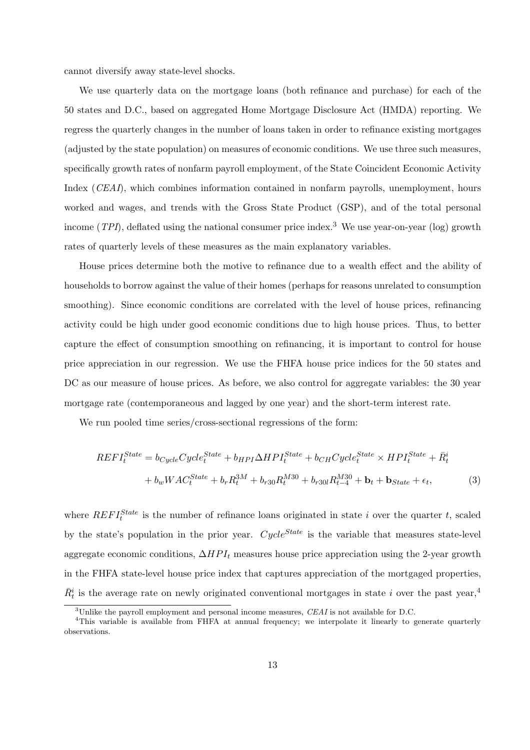cannot diversify away state-level shocks.

We use quarterly data on the mortgage loans (both refinance and purchase) for each of the 50 states and D.C., based on aggregated Home Mortgage Disclosure Act (HMDA) reporting. We regress the quarterly changes in the number of loans taken in order to refinance existing mortgages (adjusted by the state population) on measures of economic conditions. We use three such measures, specifically growth rates of nonfarm payroll employment, of the State Coincident Economic Activity Index (*CEAI*), which combines information contained in nonfarm payrolls, unemployment, hours worked and wages, and trends with the Gross State Product (GSP), and of the total personal income (*TPI*), deflated using the national consumer price index.<sup>3</sup> We use year-on-year (log) growth rates of quarterly levels of these measures as the main explanatory variables.

House prices determine both the motive to refinance due to a wealth effect and the ability of households to borrow against the value of their homes (perhaps for reasons unrelated to consumption smoothing). Since economic conditions are correlated with the level of house prices, refinancing activity could be high under good economic conditions due to high house prices. Thus, to better capture the effect of consumption smoothing on refinancing, it is important to control for house price appreciation in our regression. We use the FHFA house price indices for the 50 states and DC as our measure of house prices. As before, we also control for aggregate variables: the 30 year mortgage rate (contemporaneous and lagged by one year) and the short-term interest rate.

We run pooled time series/cross-sectional regressions of the form:

$$
REFI_t^{State} = b_{Cycle}Cycle_t^{State} + b_{HPI} \Delta HPI_t^{State} + b_{CH} Cycle_t^{State} \times HPI_t^{State} + \bar{R}_t^i
$$
  
+  $b_w W AC_t^{State} + b_r R_t^{3M} + b_{r30} R_t^{M30} + b_{r30l} R_{t-4}^{M30} + b_t + b_{State} + \epsilon_t,$  (3)

where  $REFI_t^{State}$  is the number of refinance loans originated in state *i* over the quarter *t*, scaled by the state's population in the prior year. *CycleState* is the variable that measures state-level aggregate economic conditions,  $\Delta HPI_t$  measures house price appreciation using the 2-year growth in the FHFA state-level house price index that captures appreciation of the mortgaged properties,  $\bar{R}^i_t$  is the average rate on newly originated conventional mortgages in state *i* over the past year,<sup>4</sup>

<sup>3</sup>Unlike the payroll employment and personal income measures, *CEAI* is not available for D.C.

<sup>&</sup>lt;sup>4</sup>This variable is available from FHFA at annual frequency; we interpolate it linearly to generate quarterly observations.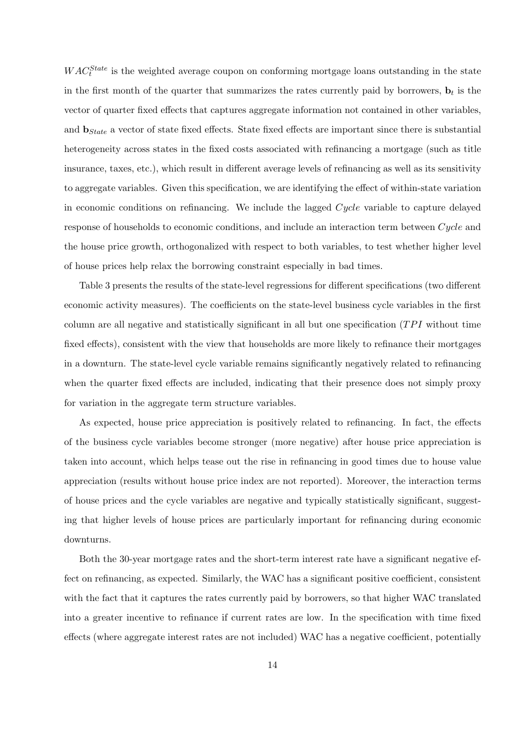*WAC*<sup>*State*</sup> is the weighted average coupon on conforming mortgage loans outstanding in the state in the first month of the quarter that summarizes the rates currently paid by borrowers,  $\mathbf{b}_t$  is the vector of quarter fixed effects that captures aggregate information not contained in other variables, and  $\mathbf{b}_{State}$  a vector of state fixed effects. State fixed effects are important since there is substantial heterogeneity across states in the fixed costs associated with refinancing a mortgage (such as title insurance, taxes, etc.), which result in different average levels of refinancing as well as its sensitivity to aggregate variables. Given this specification, we are identifying the effect of within-state variation in economic conditions on refinancing. We include the lagged *Cycle* variable to capture delayed response of households to economic conditions, and include an interaction term between *Cycle* and the house price growth, orthogonalized with respect to both variables, to test whether higher level of house prices help relax the borrowing constraint especially in bad times.

Table 3 presents the results of the state-level regressions for different specifications (two different economic activity measures). The coefficients on the state-level business cycle variables in the first column are all negative and statistically significant in all but one specification (*TPI* without time fixed effects), consistent with the view that households are more likely to refinance their mortgages in a downturn. The state-level cycle variable remains significantly negatively related to refinancing when the quarter fixed effects are included, indicating that their presence does not simply proxy for variation in the aggregate term structure variables.

As expected, house price appreciation is positively related to refinancing. In fact, the effects of the business cycle variables become stronger (more negative) after house price appreciation is taken into account, which helps tease out the rise in refinancing in good times due to house value appreciation (results without house price index are not reported). Moreover, the interaction terms of house prices and the cycle variables are negative and typically statistically significant, suggesting that higher levels of house prices are particularly important for refinancing during economic downturns.

Both the 30-year mortgage rates and the short-term interest rate have a significant negative effect on refinancing, as expected. Similarly, the WAC has a significant positive coefficient, consistent with the fact that it captures the rates currently paid by borrowers, so that higher WAC translated into a greater incentive to refinance if current rates are low. In the specification with time fixed effects (where aggregate interest rates are not included) WAC has a negative coefficient, potentially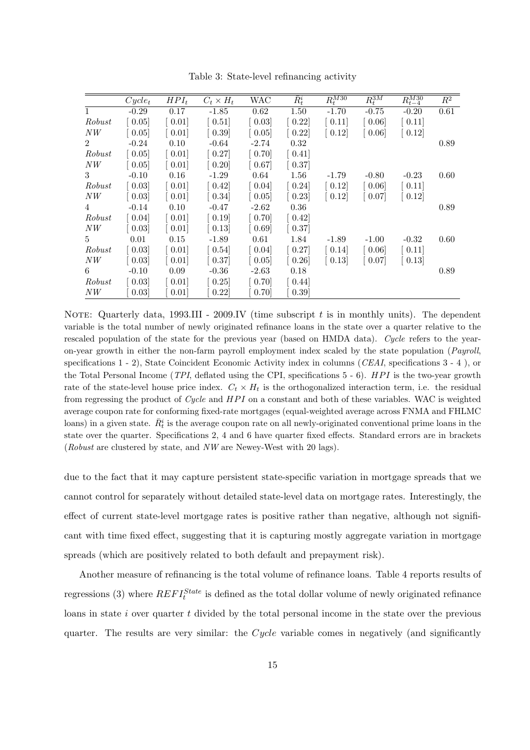|                | $Cycle_t$                | $HPI_t$ | $C_t \times H_t$        | <b>WAC</b>               | $\bar{R^i_{t}}$     | $R_t^{M30}$            | $\overline{R_t^{3M}}$ | $\overline{R^{M30}_{t-4}}$ | $\overline{R^2}$ |
|----------------|--------------------------|---------|-------------------------|--------------------------|---------------------|------------------------|-----------------------|----------------------------|------------------|
|                | $-0.29$                  | 0.17    | $-1.85$                 | 0.62                     | 1.50                | $-1.70$                | $-0.75$               | $-0.20$                    | 0.61             |
| Robust         | $\left[ \; 0.05 \right]$ | 0.01    | $\left[0.51\right]$     | $\left[ \; 0.03 \right]$ | $\left[0.22\right]$ | [0.11]                 | $\left[0.06\right]$   | 0.11                       |                  |
| NW             | 0.05                     | 0.01    | [0.39]                  | $\mid 0.05 \mid$         | 0.22                | $\lfloor 0.12 \rfloor$ | 0.06                  | 0.12                       |                  |
| $\overline{2}$ | $-0.24$                  | 0.10    | $-0.64$                 | $-2.74$                  | 0.32                |                        |                       |                            | 0.89             |
| Robust         | $\left[0.05\right]$      | 0.01    | [0.27]                  | [0.70]                   | $\left[0.41\right]$ |                        |                       |                            |                  |
| NW             | 0.05                     | 0.01    | $\left[ \ 0.20 \right]$ | $\left[ \ 0.67\right]$   | 0.37                |                        |                       |                            |                  |
| 3              | $-0.10$                  | 0.16    | $-1.29$                 | 0.64                     | 1.56                | $-1.79$                | $-0.80$               | $-0.23$                    | 0.60             |
| Robust         | $\left[0.03\right]$      | 0.01    | $\mid$ 0.42             | $\mid 0.04 \mid$         | $\left[0.24\right]$ | $\mid 0.12 \mid$       | $\left[0.06\right]$   | [0.11]                     |                  |
| NW             | $\lfloor 0.03 \rfloor$   | 0.01    | [0.34]                  | $\lfloor 0.05 \rfloor$   | 0.23                | $\mid 0.12 \mid$       | 0.07                  | 0.12                       |                  |
| 4              | $-0.14$                  | 0.10    | $-0.47$                 | $-2.62$                  | 0.36                |                        |                       |                            | 0.89             |
| Robust         | [0.04]                   | 0.01    | $\left[0.19\right]$     | [0.70]                   | $\left[0.42\right]$ |                        |                       |                            |                  |
| NW             | $\left[0.03\right]$      | 0.01    | $\mid 0.13\mid$         | $\left[ \ 0.69 \right]$  | 0.37                |                        |                       |                            |                  |
| 5.             | 0.01                     | 0.15    | $-1.89$                 | 0.61                     | 1.84                | $-1.89$                | $-1.00$               | $-0.32$                    | 0.60             |
| Robust         | $\lfloor 0.03 \rfloor$   | 0.01    | $\mid 0.54\mid$         | 0.04                     | 0.27                | 0.14                   | 0.06                  | 0.11                       |                  |
| N W            | 0.03                     | 0.01    | $\left[0.37\right]$     | $\mid 0.05 \mid$         | 0.26                | $\mid 0.13 \mid$       | 0.07                  | 0.13                       |                  |
| 6              | $-0.10$                  | 0.09    | $-0.36$                 | $-2.63$                  | 0.18                |                        |                       |                            | 0.89             |
| Robust         | $\left[ \ 0.03 \right]$  | 0.01    | $\lfloor 0.25 \rfloor$  | $\mid 0.70 \mid$         | 0.44                |                        |                       |                            |                  |
| NW             | 0.03                     | 0.01    | 0.22                    | 0.70                     | 0.39                |                        |                       |                            |                  |

Table 3: State-level refinancing activity

NOTE: Quarterly data, 1993.III - 2009.IV (time subscript t is in monthly units). The dependent variable is the total number of newly originated refinance loans in the state over a quarter relative to the rescaled population of the state for the previous year (based on HMDA data). *Cycle* refers to the yearon-year growth in either the non-farm payroll employment index scaled by the state population (*Payroll*, specifications 1 - 2), State Coincident Economic Activity index in columns (*CEAI*, specifications 3 - 4 ), or the Total Personal Income (*TPI*, deflated using the CPI, specifications 5 - 6). *HPI* is the two-year growth rate of the state-level house price index.  $C_t \times H_t$  is the orthogonalized interaction term, i.e. the residual from regressing the product of *Cycle* and *HPI* on a constant and both of these variables. WAC is weighted average coupon rate for conforming fixed-rate mortgages (equal-weighted average across FNMA and FHLMC loans) in a given state.  $\bar{R}^i_t$  is the average coupon rate on all newly-originated conventional prime loans in the state over the quarter. Specifications 2, 4 and 6 have quarter fixed effects. Standard errors are in brackets (*Robust* are clustered by state, and *NW* are Newey-West with 20 lags).

due to the fact that it may capture persistent state-specific variation in mortgage spreads that we cannot control for separately without detailed state-level data on mortgage rates. Interestingly, the effect of current state-level mortgage rates is positive rather than negative, although not significant with time fixed effect, suggesting that it is capturing mostly aggregate variation in mortgage spreads (which are positively related to both default and prepayment risk).

Another measure of refinancing is the total volume of refinance loans. Table 4 reports results of regressions (3) where  $REFI_t^{State}$  is defined as the total dollar volume of newly originated refinance loans in state *i* over quarter *t* divided by the total personal income in the state over the previous quarter. The results are very similar: the *Cycle* variable comes in negatively (and significantly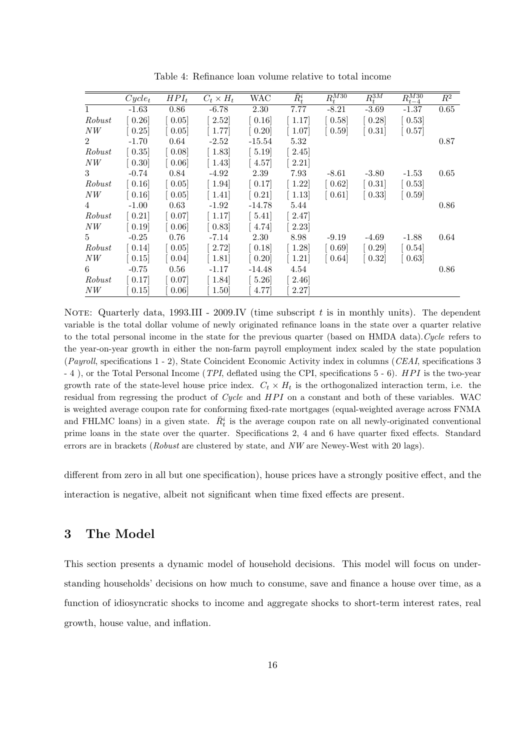|                | $Cycle_t$            | $HPI_t$              | $C_t \times H_t$              | <b>WAC</b>           | $\bar{R^i_t}$ | $R_t^{M30}$      | $R_t^{3M}$           | $R_{t-4}^{M30}$      | $\overline{R^2}$ |
|----------------|----------------------|----------------------|-------------------------------|----------------------|---------------|------------------|----------------------|----------------------|------------------|
| $\mathbf{1}$   | $-1.63$              | 0.86                 | $-6.78$                       | 2.30                 | 7.77          | $-8.21$          | $-3.69$              | $-1.37$              | 0.65             |
| Robust         | $\lceil 0.26 \rceil$ | $\lceil 0.05 \rceil$ | 2.52                          | $\left[0.16\right]$  | 1.17          | [0.58]           | $\left[0.28\right]$  | $\left[0.53\right]$  |                  |
| NW             | 0.25                 | 0.05                 | 1.77                          | $\left[0.20\right]$  | 1.07          | $\mid 0.59 \mid$ | 0.31                 | 0.57                 |                  |
| $\overline{2}$ | $-1.70$              | 0.64                 | $-2.52$                       | $-15.54$             | 5.32          |                  |                      |                      | 0.87             |
| Robust         | 0.35                 | 0.08                 | 1.83                          | 5.19                 | 2.45          |                  |                      |                      |                  |
| NW             | 0.30                 | 0.06                 | $\left[ 1.43 \right]$         | 4.57                 | 2.21          |                  |                      |                      |                  |
| 3              | $-0.74$              | 0.84                 | $-4.92$                       | 2.39                 | 7.93          | $-8.61$          | $-3.80$              | $-1.53$              | 0.65             |
| Robust         | $\left[0.16\right]$  | 0.05                 | $\left[ \right. 1.94 \right]$ | $\lceil 0.17 \rceil$ | 1.22          | [0.62]           | $\lceil 0.31 \rceil$ | 0.53                 |                  |
| NW             | 0.16                 | 0.05                 | 1.41                          | $\left[0.21\right]$  | 1.13          | $\mid 0.61 \mid$ | $\left[0.33\right]$  | 0.59                 |                  |
| 4              | $-1.00$              | 0.63                 | $-1.92$                       | $-14.78$             | 5.44          |                  |                      |                      | 0.86             |
| Robust         | 0.21                 | 0.07                 | 1.17                          | 5.41                 | 2.47          |                  |                      |                      |                  |
| NW             | 0.19                 | 0.06                 | $\lfloor 0.83 \rfloor$        | 4.74                 | 2.23          |                  |                      |                      |                  |
| 5.             | $-0.25$              | 0.76                 | $-7.14$                       | 2.30                 | 8.98          | $-9.19$          | $-4.69$              | $-1.88$              | 0.64             |
| Robust         | [0.14]               | 0.05                 | 2.72                          | $\left[0.18\right]$  | 1.28          | [0.69]           | $\left[0.29\right]$  | 0.54                 |                  |
| NW             | 0.15                 | 0.04                 | 1.81                          | 0.20                 | 1.21          | 0.64             | 0.32                 | $\lceil 0.63 \rceil$ |                  |
| 6              | -0.75                | 0.56                 | -1.17                         | $-14.48$             | 4.54          |                  |                      |                      | 0.86             |
| Robust         | 0.17                 | 0.07                 | 1.84                          | 5.26                 | 2.46          |                  |                      |                      |                  |
| NW             | 0.15                 | 0.06                 | 1.50                          | 4.77                 | 2.27          |                  |                      |                      |                  |

Table 4: Refinance loan volume relative to total income

NOTE: Quarterly data, 1993.III - 2009.IV (time subscript t is in monthly units). The dependent variable is the total dollar volume of newly originated refinance loans in the state over a quarter relative to the total personal income in the state for the previous quarter (based on HMDA data).*Cycle* refers to the year-on-year growth in either the non-farm payroll employment index scaled by the state population (*Payroll*, specifications 1 - 2), State Coincident Economic Activity index in columns (*CEAI*, specifications 3 - 4 ), or the Total Personal Income (*TPI*, deflated using the CPI, specifications 5 - 6). *HPI* is the two-year growth rate of the state-level house price index.  $C_t \times H_t$  is the orthogonalized interaction term, i.e. the residual from regressing the product of *Cycle* and *HPI* on a constant and both of these variables. WAC is weighted average coupon rate for conforming fixed-rate mortgages (equal-weighted average across FNMA and FHLMC loans) in a given state.  $\bar{R}^i_t$  is the average coupon rate on all newly-originated conventional prime loans in the state over the quarter. Specifications 2, 4 and 6 have quarter fixed eÆects. Standard errors are in brackets (*Robust* are clustered by state, and *NW* are Newey-West with 20 lags).

different from zero in all but one specification), house prices have a strongly positive effect, and the interaction is negative, albeit not significant when time fixed effects are present.

## 3 The Model

This section presents a dynamic model of household decisions. This model will focus on understanding households' decisions on how much to consume, save and finance a house over time, as a function of idiosyncratic shocks to income and aggregate shocks to short-term interest rates, real growth, house value, and inflation.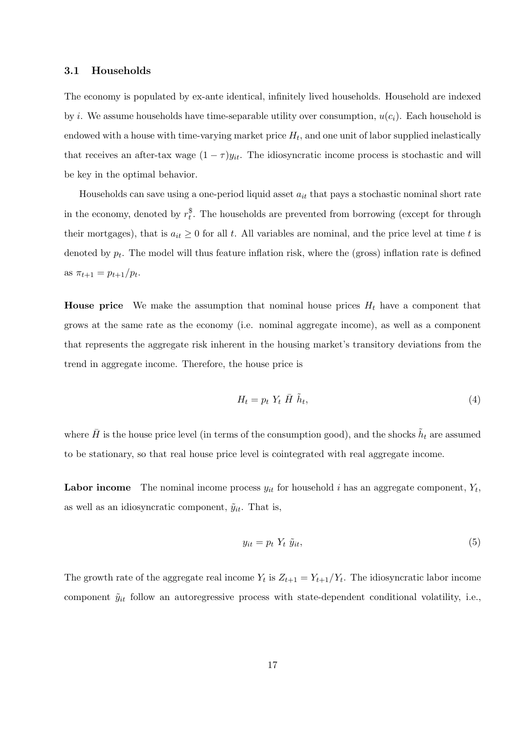### 3.1 Households

The economy is populated by ex-ante identical, infinitely lived households. Household are indexed by *i*. We assume households have time-separable utility over consumption,  $u(c_i)$ . Each household is endowed with a house with time-varying market price  $H_t$ , and one unit of labor supplied inelastically that receives an after-tax wage  $(1 - \tau)y_{it}$ . The idiosyncratic income process is stochastic and will be key in the optimal behavior.

Households can save using a one-period liquid asset *ait* that pays a stochastic nominal short rate in the economy, denoted by  $r_t^{\$}$ . The households are prevented from borrowing (except for through their mortgages), that is  $a_{it} \geq 0$  for all *t*. All variables are nominal, and the price level at time *t* is denoted by *pt*. The model will thus feature inflation risk, where the (gross) inflation rate is defined as  $\pi_{t+1} = p_{t+1}/p_t$ .

**House price** We make the assumption that nominal house prices  $H_t$  have a component that grows at the same rate as the economy (i.e. nominal aggregate income), as well as a component that represents the aggregate risk inherent in the housing market's transitory deviations from the trend in aggregate income. Therefore, the house price is

$$
H_t = p_t Y_t \bar{H} \tilde{h}_t,\tag{4}
$$

where  $\bar{H}$  is the house price level (in terms of the consumption good), and the shocks  $\tilde{h}_t$  are assumed to be stationary, so that real house price level is cointegrated with real aggregate income.

**Labor income** The nominal income process  $y_{it}$  for household *i* has an aggregate component,  $Y_t$ , as well as an idiosyncratic component,  $\tilde{y}_{it}$ . That is,

$$
y_{it} = p_t Y_t \tilde{y}_{it},\tag{5}
$$

The growth rate of the aggregate real income  $Y_t$  is  $Z_{t+1} = Y_{t+1}/Y_t$ . The idiosyncratic labor income component  $\tilde{y}_{it}$  follow an autoregressive process with state-dependent conditional volatility, i.e.,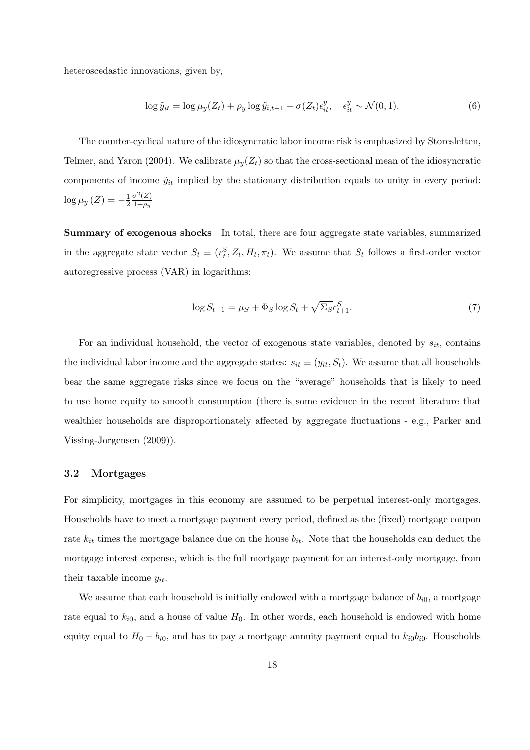heteroscedastic innovations, given by,

$$
\log \tilde{y}_{it} = \log \mu_y(Z_t) + \rho_y \log \tilde{y}_{i,t-1} + \sigma(Z_t) \epsilon_{it}^y, \quad \epsilon_{it}^y \sim \mathcal{N}(0, 1). \tag{6}
$$

The counter-cyclical nature of the idiosyncratic labor income risk is emphasized by Storesletten, Telmer, and Yaron (2004). We calibrate  $\mu_y(Z_t)$  so that the cross-sectional mean of the idiosyncratic components of income  $\tilde{y}_{it}$  implied by the stationary distribution equals to unity in every period:  $\log \mu_y(Z) = -\frac{1}{2}$  $\sigma^2(Z)$  $1+\rho_y$ 

Summary of exogenous shocks In total, there are four aggregate state variables, summarized in the aggregate state vector  $S_t \equiv (r_t^{\$}, Z_t, H_t, \pi_t)$ . We assume that  $S_t$  follows a first-order vector autoregressive process (VAR) in logarithms:

$$
\log S_{t+1} = \mu_S + \Phi_S \log S_t + \sqrt{\Sigma_S} \epsilon_{t+1}^S. \tag{7}
$$

For an individual household, the vector of exogenous state variables, denoted by *sit*, contains the individual labor income and the aggregate states:  $s_{it} \equiv (y_{it}, S_t)$ . We assume that all households bear the same aggregate risks since we focus on the "average" households that is likely to need to use home equity to smooth consumption (there is some evidence in the recent literature that wealthier households are disproportionately affected by aggregate fluctuations - e.g., Parker and Vissing-Jorgensen (2009)).

### 3.2 Mortgages

For simplicity, mortgages in this economy are assumed to be perpetual interest-only mortgages. Households have to meet a mortgage payment every period, defined as the (fixed) mortgage coupon rate  $k_{it}$  times the mortgage balance due on the house  $b_{it}$ . Note that the households can deduct the mortgage interest expense, which is the full mortgage payment for an interest-only mortgage, from their taxable income *yit*.

We assume that each household is initially endowed with a mortgage balance of  $b_{i0}$ , a mortgage rate equal to  $k_{i0}$ , and a house of value  $H_0$ . In other words, each household is endowed with home equity equal to  $H_0 - b_{i0}$ , and has to pay a mortgage annuity payment equal to  $k_{i0}b_{i0}$ . Households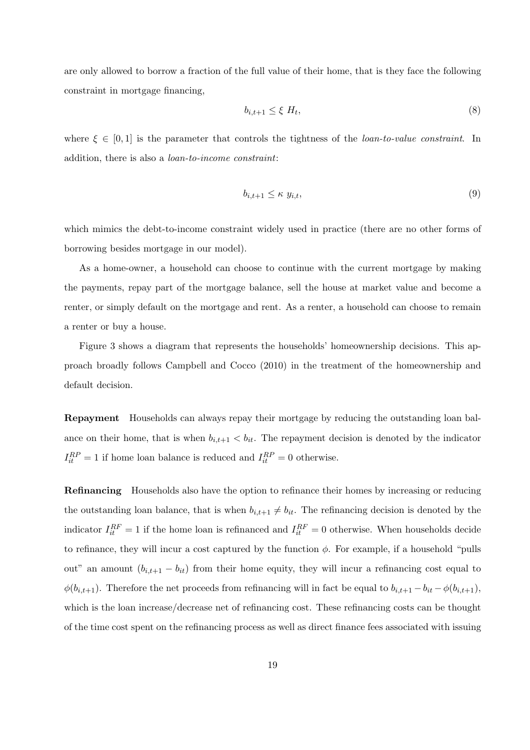are only allowed to borrow a fraction of the full value of their home, that is they face the following constraint in mortgage financing,

$$
b_{i,t+1} \le \xi \ H_t,\tag{8}
$$

where  $\xi \in [0, 1]$  is the parameter that controls the tightness of the *loan-to-value constraint*. In addition, there is also a *loan-to-income constraint*:

$$
b_{i,t+1} \leq \kappa \ y_{i,t},\tag{9}
$$

which mimics the debt-to-income constraint widely used in practice (there are no other forms of borrowing besides mortgage in our model).

As a home-owner, a household can choose to continue with the current mortgage by making the payments, repay part of the mortgage balance, sell the house at market value and become a renter, or simply default on the mortgage and rent. As a renter, a household can choose to remain a renter or buy a house.

Figure 3 shows a diagram that represents the households' homeownership decisions. This approach broadly follows Campbell and Cocco (2010) in the treatment of the homeownership and default decision.

Repayment Households can always repay their mortgage by reducing the outstanding loan balance on their home, that is when  $b_{i,t+1} < b_{it}$ . The repayment decision is denoted by the indicator  $I_{it}^{RP} = 1$  if home loan balance is reduced and  $I_{it}^{RP} = 0$  otherwise.

Refinancing Households also have the option to refinance their homes by increasing or reducing the outstanding loan balance, that is when  $b_{i,t+1} \neq b_{it}$ . The refinancing decision is denoted by the indicator  $I_{it}^{RF} = 1$  if the home loan is refinanced and  $I_{it}^{RF} = 0$  otherwise. When households decide to refinance, they will incur a cost captured by the function  $\phi$ . For example, if a household "pulls out" an amount  $(b_{i,t+1} - b_{it})$  from their home equity, they will incur a refinancing cost equal to  $\phi(b_{i,t+1})$ . Therefore the net proceeds from refinancing will in fact be equal to  $b_{i,t+1} - b_{it} - \phi(b_{i,t+1}),$ which is the loan increase/decrease net of refinancing cost. These refinancing costs can be thought of the time cost spent on the refinancing process as well as direct finance fees associated with issuing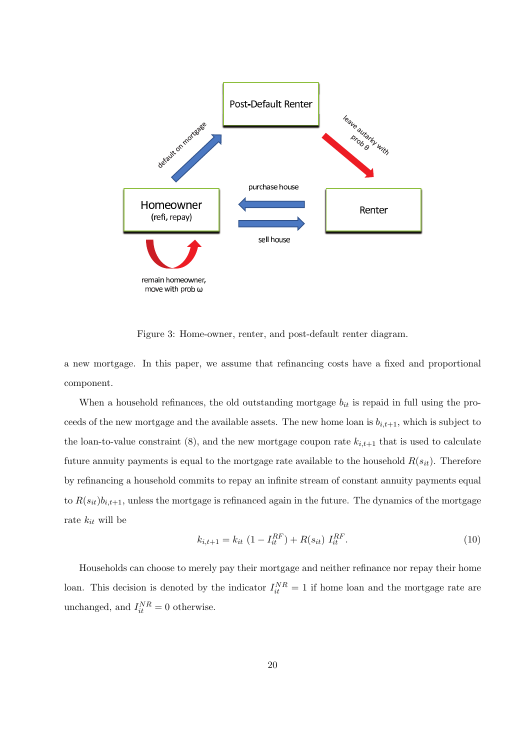

Figure 3: Home-owner, renter, and post-default renter diagram.

a new mortgage. In this paper, we assume that refinancing costs have a fixed and proportional component.

When a household refinances, the old outstanding mortgage  $b_{it}$  is repaid in full using the proceeds of the new mortgage and the available assets. The new home loan is  $b_{i,t+1}$ , which is subject to the loan-to-value constraint  $(8)$ , and the new mortgage coupon rate  $k_{i,t+1}$  that is used to calculate future annuity payments is equal to the mortgage rate available to the household  $R(s_{it})$ . Therefore by refinancing a household commits to repay an infinite stream of constant annuity payments equal to  $R(s_{it})b_{i,t+1}$ , unless the mortgage is refinanced again in the future. The dynamics of the mortgage rate  $k_{it}$  will be

$$
k_{i,t+1} = k_{it} \left( 1 - I_{it}^{RF} \right) + R(s_{it}) \ I_{it}^{RF}.
$$
\n(10)

Households can choose to merely pay their mortgage and neither refinance nor repay their home loan. This decision is denoted by the indicator  $I_{it}^{NR} = 1$  if home loan and the mortgage rate are unchanged, and  $I_{it}^{NR} = 0$  otherwise.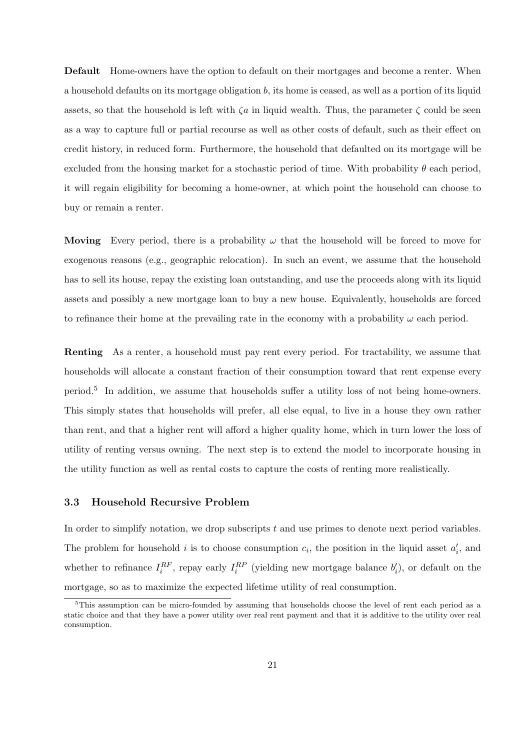Default Home-owners have the option to default on their mortgages and become a renter. When a household defaults on its mortgage obligation *b*, its home is ceased, as well as a portion of its liquid assets, so that the household is left with  $\zeta a$  in liquid wealth. Thus, the parameter  $\zeta$  could be seen as a way to capture full or partial recourse as well as other costs of default, such as their effect on credit history, in reduced form. Furthermore, the household that defaulted on its mortgage will be excluded from the housing market for a stochastic period of time. With probability  $\theta$  each period, it will regain eligibility for becoming a home-owner, at which point the household can choose to buy or remain a renter.

Moving Every period, there is a probability  $\omega$  that the household will be forced to move for exogenous reasons (e.g., geographic relocation). In such an event, we assume that the household has to sell its house, repay the existing loan outstanding, and use the proceeds along with its liquid assets and possibly a new mortgage loan to buy a new house. Equivalently, households are forced to refinance their home at the prevailing rate in the economy with a probability  $\omega$  each period.

Renting As a renter, a household must pay rent every period. For tractability, we assume that households will allocate a constant fraction of their consumption toward that rent expense every period.<sup>5</sup> In addition, we assume that households suffer a utility loss of not being home-owners. This simply states that households will prefer, all else equal, to live in a house they own rather than rent, and that a higher rent will aÆord a higher quality home, which in turn lower the loss of utility of renting versus owning. The next step is to extend the model to incorporate housing in the utility function as well as rental costs to capture the costs of renting more realistically.

### 3.3 Household Recursive Problem

In order to simplify notation, we drop subscripts *t* and use primes to denote next period variables. The problem for household *i* is to choose consumption  $c_i$ , the position in the liquid asset  $a'_i$ , and whether to refinance  $I_i^{RF}$ , repay early  $I_i^{RP}$  (yielding new mortgage balance  $b'_i$ ), or default on the mortgage, so as to maximize the expected lifetime utility of real consumption.

 $5$ This assumption can be micro-founded by assuming that households choose the level of rent each period as a static choice and that they have a power utility over real rent payment and that it is additive to the utility over real consumption.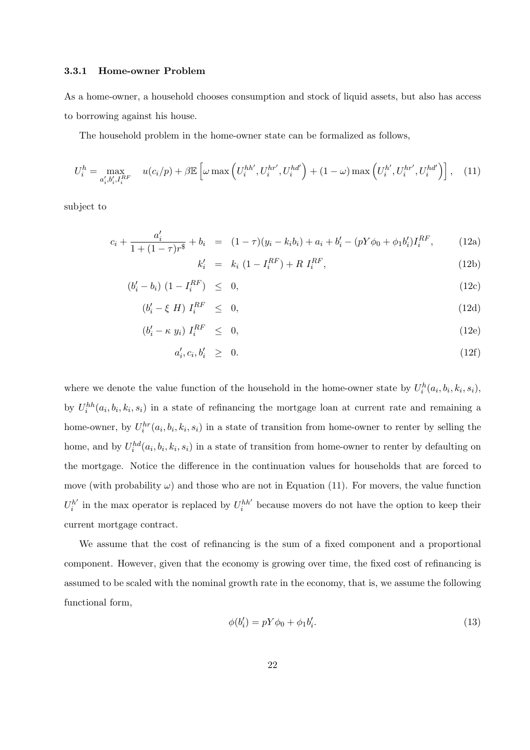### 3.3.1 Home-owner Problem

As a home-owner, a household chooses consumption and stock of liquid assets, but also has access to borrowing against his house.

The household problem in the home-owner state can be formalized as follows,

$$
U_i^h = \max_{a'_i, b'_i, I_i^{RF}} \quad u(c_i/p) + \beta \mathbb{E}\left[\omega \max\left(U_i^{hh'}, U_i^{hr'}, U_i^{hd'}\right) + (1-\omega) \max\left(U_i^{h'}, U_i^{hr'}, U_i^{hd'}\right)\right], \quad (11)
$$

subject to

$$
c_i + \frac{a'_i}{1 + (1 - \tau)r^{\$}} + b_i = (1 - \tau)(y_i - k_ib_i) + a_i + b'_i - (pY\phi_0 + \phi_1b'_i)I_i^{RF},
$$
 (12a)

$$
k'_{i} = k_{i} (1 - I_{i}^{RF}) + R I_{i}^{RF}, \qquad (12b)
$$

$$
(b_i' - b_i) (1 - I_i^{RF}) \leq 0,
$$
\n(12c)

$$
(b_i' - \xi H) I_i^{RF} \leq 0,
$$
\n(12d)

$$
(b_i' - \kappa y_i) I_i^{RF} \leq 0,
$$
\n(12e)

$$
a_i', c_i, b_i' \geq 0. \tag{12f}
$$

where we denote the value function of the household in the home-owner state by  $U_i^h(a_i, b_i, k_i, s_i)$ , by  $U_i^{hh}(a_i, b_i, k_i, s_i)$  in a state of refinancing the mortgage loan at current rate and remaining a home-owner, by  $U_i^{hr}(a_i, b_i, k_i, s_i)$  in a state of transition from home-owner to renter by selling the home, and by  $U_i^{hd}(a_i, b_i, k_i, s_i)$  in a state of transition from home-owner to renter by defaulting on the mortgage. Notice the difference in the continuation values for households that are forced to move (with probability  $\omega$ ) and those who are not in Equation (11). For movers, the value function  $U_i^{h'}$  in the max operator is replaced by  $U_i^{hh'}$  because movers do not have the option to keep their current mortgage contract.

We assume that the cost of refinancing is the sum of a fixed component and a proportional component. However, given that the economy is growing over time, the fixed cost of refinancing is assumed to be scaled with the nominal growth rate in the economy, that is, we assume the following functional form,

$$
\phi(b_i') = pY\phi_0 + \phi_1 b_i'.\tag{13}
$$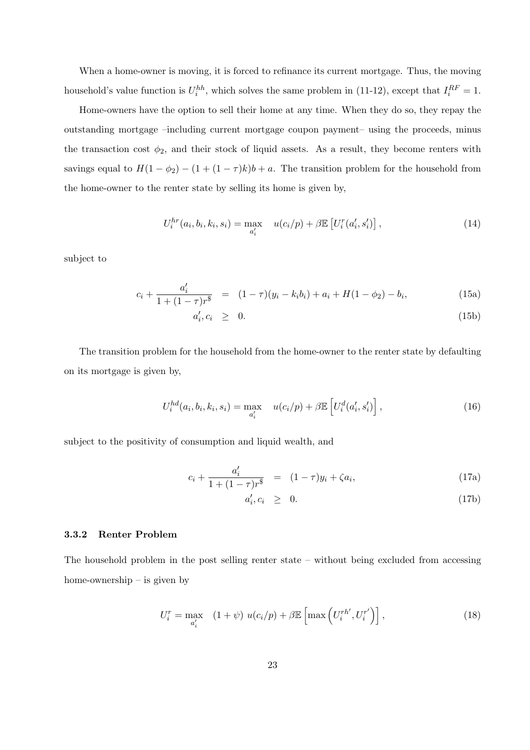When a home-owner is moving, it is forced to refinance its current mortgage. Thus, the moving household's value function is  $U_i^{hh}$ , which solves the same problem in (11-12), except that  $I_i^{RF} = 1$ .

Home-owners have the option to sell their home at any time. When they do so, they repay the outstanding mortgage –including current mortgage coupon payment– using the proceeds, minus the transaction cost  $\phi_2$ , and their stock of liquid assets. As a result, they become renters with savings equal to  $H(1 - \phi_2) - (1 + (1 - \tau)k)b + a$ . The transition problem for the household from the home-owner to the renter state by selling its home is given by,

$$
U_i^{hr}(a_i, b_i, k_i, s_i) = \max_{a'_i} \quad u(c_i/p) + \beta \mathbb{E}\left[U_i^r(a'_i, s'_i)\right],\tag{14}
$$

subject to

$$
c_i + \frac{a'_i}{1 + (1 - \tau)r^{\$}} = (1 - \tau)(y_i - k_ib_i) + a_i + H(1 - \phi_2) - b_i,
$$
\n(15a)

$$
a_i', c_i \geq 0. \tag{15b}
$$

The transition problem for the household from the home-owner to the renter state by defaulting on its mortgage is given by,

$$
U_i^{hd}(a_i, b_i, k_i, s_i) = \max_{a'_i} \quad u(c_i/p) + \beta \mathbb{E}\left[U_i^d(a'_i, s'_i)\right],\tag{16}
$$

subject to the positivity of consumption and liquid wealth, and

$$
c_i + \frac{a'_i}{1 + (1 - \tau)r^{\$}} = (1 - \tau)y_i + \zeta a_i,
$$
\n(17a)

$$
a_i', c_i \geq 0. \tag{17b}
$$

### 3.3.2 Renter Problem

The household problem in the post selling renter state – without being excluded from accessing home-ownership – is given by

$$
U_i^r = \max_{a_i'} \quad (1+\psi) \ u(c_i/p) + \beta \mathbb{E} \left[ \max \left( U_i^{rh'}, U_i^{r'} \right) \right], \tag{18}
$$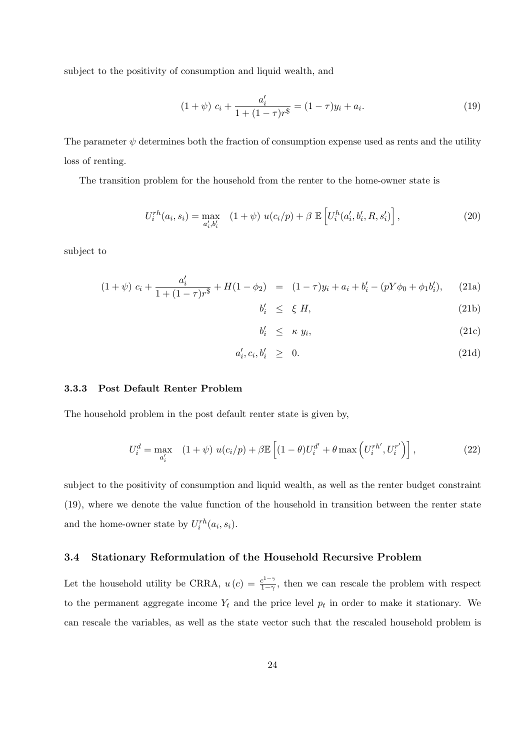subject to the positivity of consumption and liquid wealth, and

$$
(1+\psi) c_i + \frac{a'_i}{1+(1-\tau)r^*} = (1-\tau)y_i + a_i.
$$
 (19)

The parameter  $\psi$  determines both the fraction of consumption expense used as rents and the utility loss of renting.

The transition problem for the household from the renter to the home-owner state is

$$
U_i^{rh}(a_i, s_i) = \max_{a'_i, b'_i} \quad (1 + \psi) \ u(c_i/p) + \beta \ \mathbb{E} \left[ U_i^h(a'_i, b'_i, R, s'_i) \right], \tag{20}
$$

subject to

$$
(1+\psi) c_i + \frac{a'_i}{1+(1-\tau)r^{\$}} + H(1-\phi_2) = (1-\tau)y_i + a_i + b'_i - (pY\phi_0 + \phi_1 b'_i), \quad (21a)
$$

 $b'_i \leq \xi H,$  (21b)

$$
b_i' \leq \kappa y_i, \tag{21c}
$$

$$
a_i', c_i, b_i' \geq 0. \tag{21d}
$$

### 3.3.3 Post Default Renter Problem

The household problem in the post default renter state is given by,

$$
U_i^d = \max_{a_i'} \quad (1+\psi) \ u(c_i/p) + \beta \mathbb{E}\left[ (1-\theta)U_i^{d'} + \theta \max\left( U_i^{rh'}, U_i^{r'} \right) \right],\tag{22}
$$

subject to the positivity of consumption and liquid wealth, as well as the renter budget constraint (19), where we denote the value function of the household in transition between the renter state and the home-owner state by  $U_i^{rh}(a_i, s_i)$ .

### 3.4 Stationary Reformulation of the Household Recursive Problem

Let the household utility be CRRA,  $u(c) = \frac{c^{1-\gamma}}{1-\gamma}$ , then we can rescale the problem with respect to the permanent aggregate income  $Y_t$  and the price level  $p_t$  in order to make it stationary. We can rescale the variables, as well as the state vector such that the rescaled household problem is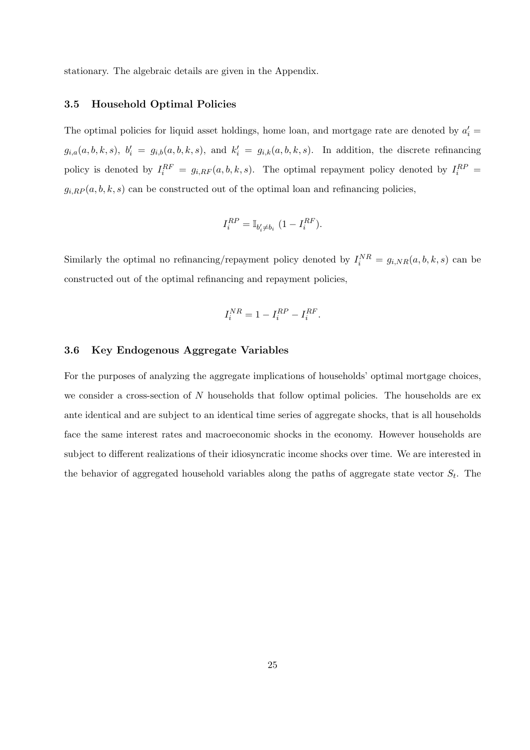stationary. The algebraic details are given in the Appendix.

### 3.5 Household Optimal Policies

The optimal policies for liquid asset holdings, home loan, and mortgage rate are denoted by  $a_i' =$  $g_{i,a}(a, b, k, s)$ ,  $b_i' = g_{i,b}(a, b, k, s)$ , and  $k_i' = g_{i,k}(a, b, k, s)$ . In addition, the discrete refinancing policy is denoted by  $I_i^{RF} = g_{i,RF}(a,b,k,s)$ . The optimal repayment policy denoted by  $I_i^{RP} =$  $g_{i,RP}(a, b, k, s)$  can be constructed out of the optimal loan and refinancing policies,

$$
I_i^{RP} = \mathbb{I}_{b_i' \neq b_i} \ (1 - I_i^{RF}).
$$

Similarly the optimal no refinancing/repayment policy denoted by  $I_i^{NR} = g_{i, NR}(a, b, k, s)$  can be constructed out of the optimal refinancing and repayment policies,

$$
I_i^{NR} = 1 - I_i^{RP} - I_i^{RF}.
$$

### 3.6 Key Endogenous Aggregate Variables

For the purposes of analyzing the aggregate implications of households' optimal mortgage choices, we consider a cross-section of *N* households that follow optimal policies. The households are ex ante identical and are subject to an identical time series of aggregate shocks, that is all households face the same interest rates and macroeconomic shocks in the economy. However households are subject to different realizations of their idiosyncratic income shocks over time. We are interested in the behavior of aggregated household variables along the paths of aggregate state vector  $S_t$ . The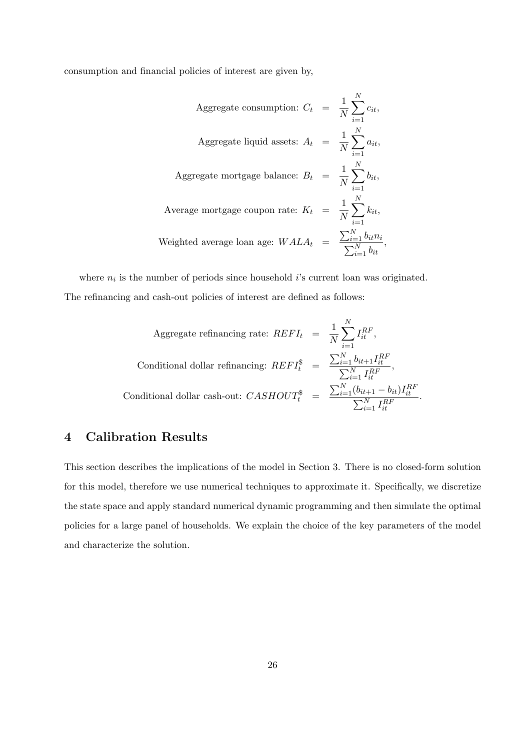consumption and financial policies of interest are given by,

\n Aggregate consumption: \n 
$$
C_t = \frac{1}{N} \sum_{i=1}^{N} c_{it},
$$
\n \n Aggregate liquid assets: \n  $A_t = \frac{1}{N} \sum_{i=1}^{N} a_{it},$ \n \n Aggregate mortgage balance: \n  $B_t = \frac{1}{N} \sum_{i=1}^{N} b_{it},$ \n \n Average mortgage coupon rate: \n  $K_t = \frac{1}{N} \sum_{i=1}^{N} k_{it},$ \n \n Weighted average loan age: \n  $WALA_t = \frac{\sum_{i=1}^{N} b_{it} n_i}{\sum_{i=1}^{N} b_{it}},$ \n

where  $n_i$  is the number of periods since household *i*'s current loan was originated. The refinancing and cash-out policies of interest are defined as follows:

\n Aggregate refinementing rate: 
$$
REFI_t = \frac{1}{N} \sum_{i=1}^{N} I_{it}^{RF}
$$
,  
\n Conditional dollar refinement:  $REFI_t^{\$}$  =  $\frac{\sum_{i=1}^{N} b_{it+1} I_{it}^{RF}}{\sum_{i=1}^{N} I_{it}^{RF}}$ ,  
\n Conditional dollar cash-out:  $CASHOUT_t^{\$}$  =  $\frac{\sum_{i=1}^{N} (b_{it+1} - b_{it}) I_{it}^{RF}}{\sum_{i=1}^{N} I_{it}^{RF}}$ .\n

## 4 Calibration Results

This section describes the implications of the model in Section 3. There is no closed-form solution for this model, therefore we use numerical techniques to approximate it. Specifically, we discretize the state space and apply standard numerical dynamic programming and then simulate the optimal policies for a large panel of households. We explain the choice of the key parameters of the model and characterize the solution.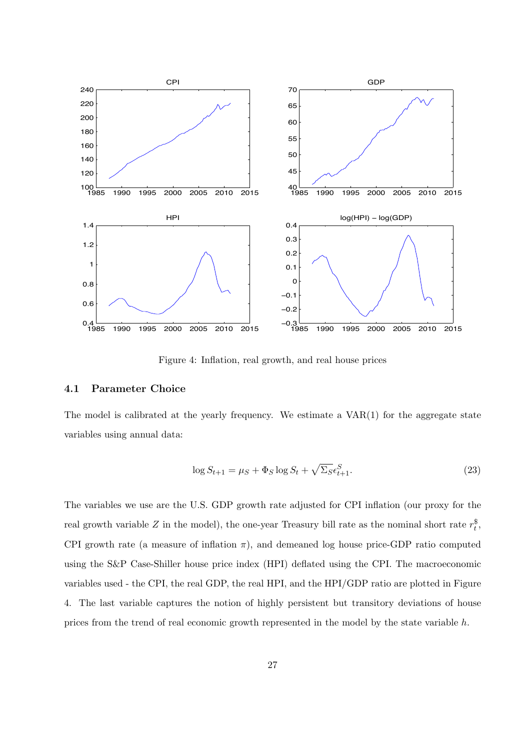

Figure 4: Inflation, real growth, and real house prices

### 4.1 Parameter Choice

The model is calibrated at the yearly frequency. We estimate a VAR(1) for the aggregate state variables using annual data:

$$
\log S_{t+1} = \mu_S + \Phi_S \log S_t + \sqrt{\Sigma_S} \epsilon_{t+1}^S. \tag{23}
$$

The variables we use are the U.S. GDP growth rate adjusted for CPI inflation (our proxy for the real growth variable *Z* in the model), the one-year Treasury bill rate as the nominal short rate  $r_t^{\$}$ , CPI growth rate (a measure of inflation  $\pi$ ), and demeaned log house price-GDP ratio computed using the S&P Case-Shiller house price index (HPI) deflated using the CPI. The macroeconomic variables used - the CPI, the real GDP, the real HPI, and the HPI/GDP ratio are plotted in Figure 4. The last variable captures the notion of highly persistent but transitory deviations of house prices from the trend of real economic growth represented in the model by the state variable *h*.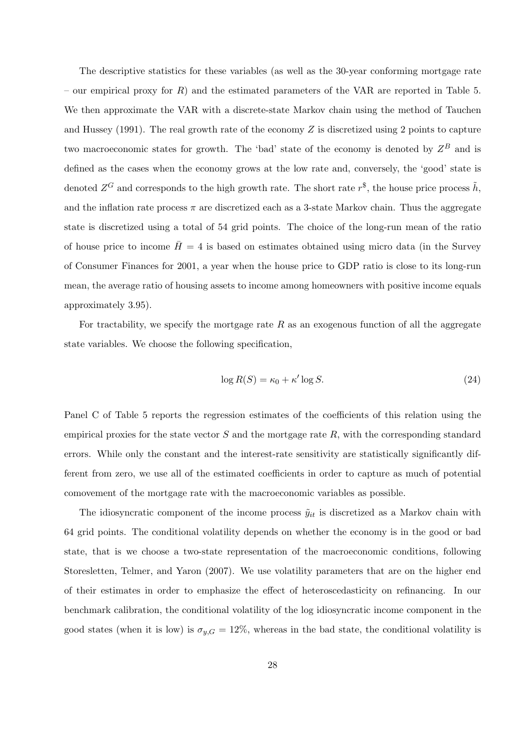The descriptive statistics for these variables (as well as the 30-year conforming mortgage rate – our empirical proxy for *R*) and the estimated parameters of the VAR are reported in Table 5. We then approximate the VAR with a discrete-state Markov chain using the method of Tauchen and Hussey (1991). The real growth rate of the economy *Z* is discretized using 2 points to capture two macroeconomic states for growth. The 'bad' state of the economy is denoted by *Z<sup>B</sup>* and is defined as the cases when the economy grows at the low rate and, conversely, the 'good' state is denoted  $Z^G$  and corresponds to the high growth rate. The short rate  $r^{\$}$ , the house price process  $\tilde{h}$ , and the inflation rate process  $\pi$  are discretized each as a 3-state Markov chain. Thus the aggregate state is discretized using a total of 54 grid points. The choice of the long-run mean of the ratio of house price to income  $\bar{H} = 4$  is based on estimates obtained using micro data (in the Survey of Consumer Finances for 2001, a year when the house price to GDP ratio is close to its long-run mean, the average ratio of housing assets to income among homeowners with positive income equals approximately 3*.*95).

For tractability, we specify the mortgage rate *R* as an exogenous function of all the aggregate state variables. We choose the following specification,

$$
\log R(S) = \kappa_0 + \kappa' \log S. \tag{24}
$$

Panel C of Table 5 reports the regression estimates of the coefficients of this relation using the empirical proxies for the state vector *S* and the mortgage rate *R*, with the corresponding standard errors. While only the constant and the interest-rate sensitivity are statistically significantly different from zero, we use all of the estimated coefficients in order to capture as much of potential comovement of the mortgage rate with the macroeconomic variables as possible.

The idiosyncratic component of the income process  $\tilde{y}_{it}$  is discretized as a Markov chain with 64 grid points. The conditional volatility depends on whether the economy is in the good or bad state, that is we choose a two-state representation of the macroeconomic conditions, following Storesletten, Telmer, and Yaron (2007). We use volatility parameters that are on the higher end of their estimates in order to emphasize the eÆect of heteroscedasticity on refinancing. In our benchmark calibration, the conditional volatility of the log idiosyncratic income component in the good states (when it is low) is  $\sigma_{y,G} = 12\%$ , whereas in the bad state, the conditional volatility is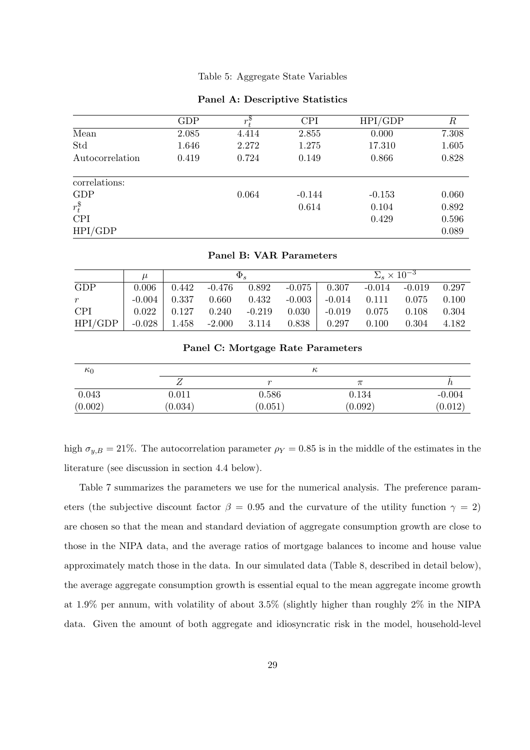#### Table 5: Aggregate State Variables

### GDP  $r_t^{\$}$  $r_t^*$  CPI HPI/GDP *R*<br>4.414 2.855 0.000 7.308 Mean 2.085 4.414 2.855 0.000 7.308 Std 1.646 2.272 1.275 17.310 1.605 Autocorrelation 0.419 0.724 0.149 0.866 0.828 correlations: GDP  $0.064$   $-0.144$   $-0.153$   $0.060$  $r_t^{\$}$ *<sup>t</sup>* 0.614 0.104 0.892

#### Panel A: Descriptive Statistics

### Panel B: VAR Parameters

CPI 0.429 0.596  $HPI/GDP$  0.089

|                 |  | $\Phi_{\rm e}$ |  |  |                                                                       | $\Sigma_s \times 10^{-3}$ |  |       |  |
|-----------------|--|----------------|--|--|-----------------------------------------------------------------------|---------------------------|--|-------|--|
| <b>GDP</b>      |  |                |  |  | $0.006$   $0.442$ -0.476 $0.892$ -0.075 $0.307$ -0.014 -0.019         |                           |  | 0.297 |  |
| $r_{\parallel}$ |  |                |  |  | $-0.004$   0.337 0.660 0.432 $-0.003$   $-0.014$ 0.111 0.075 0.100    |                           |  |       |  |
| <b>CPI</b>      |  |                |  |  | $0.022$   $0.127$ $0.240$ $-0.219$ $0.030$   $-0.019$ $0.075$ $0.108$ |                           |  | 0.304 |  |
| HPI/GDP         |  |                |  |  | $-0.028$   $1.458$ $-2.000$ $3.114$ $0.838$   $0.297$ $0.100$ $0.304$ |                           |  | 4.182 |  |

### Panel C: Mortgage Rate Parameters

| $\kappa_0$ |         | к       |         |          |  |  |  |  |
|------------|---------|---------|---------|----------|--|--|--|--|
|            |         |         |         | ' v      |  |  |  |  |
| 0.043      | 0.011   | 0.586   | 0.134   | $-0.004$ |  |  |  |  |
| (0.002)    | (0.034) | (0.051) | (0.092) | (0.012)  |  |  |  |  |

high  $\sigma_{y,B} = 21\%$ . The autocorrelation parameter  $\rho_Y = 0.85$  is in the middle of the estimates in the literature (see discussion in section 4.4 below).

Table 7 summarizes the parameters we use for the numerical analysis. The preference parameters (the subjective discount factor  $\beta = 0.95$  and the curvature of the utility function  $\gamma = 2$ ) are chosen so that the mean and standard deviation of aggregate consumption growth are close to those in the NIPA data, and the average ratios of mortgage balances to income and house value approximately match those in the data. In our simulated data (Table 8, described in detail below), the average aggregate consumption growth is essential equal to the mean aggregate income growth at 1*.*9% per annum, with volatility of about 3*.*5% (slightly higher than roughly 2% in the NIPA data. Given the amount of both aggregate and idiosyncratic risk in the model, household-level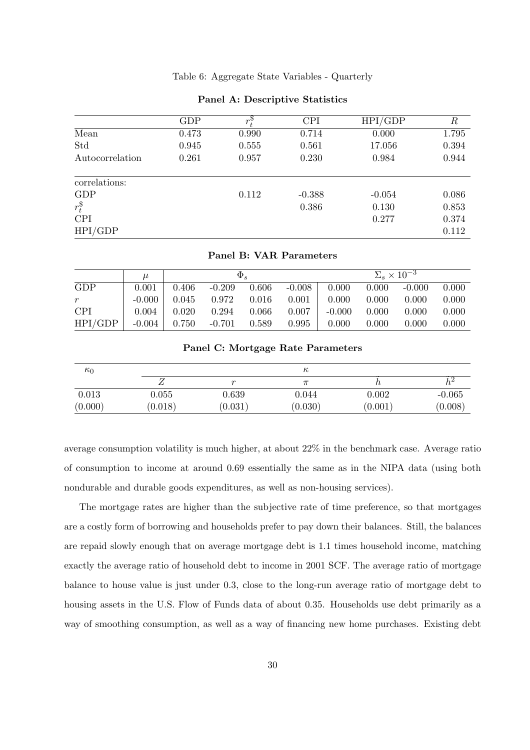### Table 6: Aggregate State Variables - Quarterly

|                 | GDP   | $r_{\star}$ | <b>CPI</b> | HPI/GDP  | $\,$  |
|-----------------|-------|-------------|------------|----------|-------|
| Mean            | 0.473 | 0.990       | 0.714      | 0.000    | 1.795 |
| Std             | 0.945 | 0.555       | 0.561      | 17.056   | 0.394 |
| Autocorrelation | 0.261 | 0.957       | 0.230      | 0.984    | 0.944 |
| correlations:   |       |             |            |          |       |
| GDP             |       | 0.112       | $-0.388$   | $-0.054$ | 0.086 |
| $r_t^{\$}$      |       |             | 0.386      | 0.130    | 0.853 |
| <b>CPI</b>      |       |             |            | 0.277    | 0.374 |
| HPI/GDP         |       |             |            |          | 0.112 |

### Panel A: Descriptive Statistics

### Panel B: VAR Parameters

|            | $\mu$    |       | $\Phi_{\rm e}$ |       |          |          | $\Sigma_s \times 10^{-3}$ |          |       |  |
|------------|----------|-------|----------------|-------|----------|----------|---------------------------|----------|-------|--|
| <b>GDP</b> | 0.001    | 0.406 | $-0.209$       | 0.606 | $-0.008$ | 0.000    | 0.000                     | $-0.000$ | 0.000 |  |
| r          | $-0.000$ | 0.045 | 0.972          | 0.016 | 0.001    | 0.000    | 0.000                     | 0.000    | 0.000 |  |
| <b>CPI</b> | 0.004    | 0.020 | 0.294          | 0.066 | 0.007    | $-0.000$ | 0.000                     | 0.000    | 0.000 |  |
| HPI/GDP    | $-0.004$ | 0.750 | $-0.701$       | 0.589 | 0.995    | 0.000    | 0.000                     | 0.000    | 0.000 |  |

### Panel C: Mortgage Rate Parameters

| $\kappa_0$ |           |         | r       |         |          |
|------------|-----------|---------|---------|---------|----------|
|            |           |         |         |         |          |
| 0.013      | $0.055\,$ | 0.639   | 0.044   | 0.002   | $-0.065$ |
| (0.000)    | (0.018)   | (0.031) | (0.030) | (0.001) | (0.008)  |

average consumption volatility is much higher, at about 22% in the benchmark case. Average ratio of consumption to income at around 0*.*69 essentially the same as in the NIPA data (using both nondurable and durable goods expenditures, as well as non-housing services).

The mortgage rates are higher than the subjective rate of time preference, so that mortgages are a costly form of borrowing and households prefer to pay down their balances. Still, the balances are repaid slowly enough that on average mortgage debt is 1*.*1 times household income, matching exactly the average ratio of household debt to income in 2001 SCF. The average ratio of mortgage balance to house value is just under 0*.*3, close to the long-run average ratio of mortgage debt to housing assets in the U.S. Flow of Funds data of about 0*.*35. Households use debt primarily as a way of smoothing consumption, as well as a way of financing new home purchases. Existing debt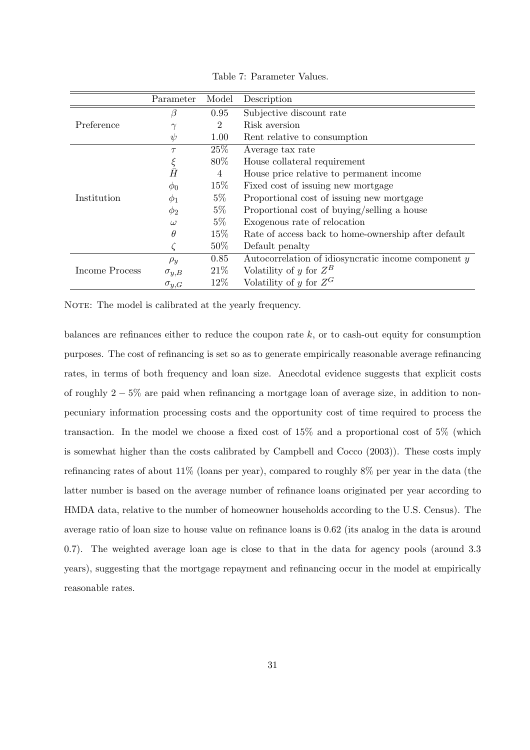|                | Parameter             | Model          | Description                                           |
|----------------|-----------------------|----------------|-------------------------------------------------------|
|                | β                     | 0.95           | Subjective discount rate                              |
| Preference     | $\gamma$              | $\overline{2}$ | Risk aversion                                         |
|                | $\psi$                | 1.00           | Rent relative to consumption                          |
|                | $\tau$                | 25%            | Average tax rate                                      |
|                | $\frac{\xi}{\bar{H}}$ | 80\%           | House collateral requirement                          |
|                |                       | 4              | House price relative to permanent income              |
|                | $\phi_0$              | $15\%$         | Fixed cost of issuing new mortgage                    |
| Institution    | $\phi_1$              | $5\%$          | Proportional cost of issuing new mortgage             |
|                | $\phi_2$              | $5\%$          | Proportional cost of buying/selling a house           |
|                | $\omega$              | $5\%$          | Exogenous rate of relocation                          |
|                | $\theta$              | $15\%$         | Rate of access back to home-ownership after default   |
|                |                       | $50\%$         | Default penalty                                       |
|                | $\rho_y$              | 0.85           | Autocorrelation of idiosyncratic income component $y$ |
| Income Process | $\sigma_{y,B}$        | $21\%$         | Volatility of y for $Z^B$                             |
|                | $\sigma_{y,G}$        | 12%            | Volatility of y for $Z^G$                             |

Table 7: Parameter Values.

NOTE: The model is calibrated at the yearly frequency.

balances are refinances either to reduce the coupon rate *k*, or to cash-out equity for consumption purposes. The cost of refinancing is set so as to generate empirically reasonable average refinancing rates, in terms of both frequency and loan size. Anecdotal evidence suggests that explicit costs of roughly  $2 - 5\%$  are paid when refinancing a mortgage loan of average size, in addition to nonpecuniary information processing costs and the opportunity cost of time required to process the transaction. In the model we choose a fixed cost of 15% and a proportional cost of 5% (which is somewhat higher than the costs calibrated by Campbell and Cocco (2003)). These costs imply refinancing rates of about 11% (loans per year), compared to roughly 8% per year in the data (the latter number is based on the average number of refinance loans originated per year according to HMDA data, relative to the number of homeowner households according to the U.S. Census). The average ratio of loan size to house value on refinance loans is 0*.*62 (its analog in the data is around 0*.*7). The weighted average loan age is close to that in the data for agency pools (around 3*.*3 years), suggesting that the mortgage repayment and refinancing occur in the model at empirically reasonable rates.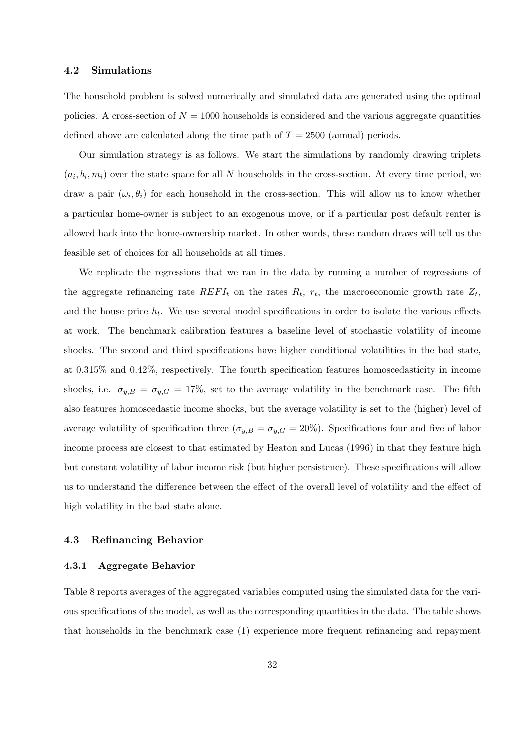### 4.2 Simulations

The household problem is solved numerically and simulated data are generated using the optimal policies. A cross-section of  $N = 1000$  households is considered and the various aggregate quantities defined above are calculated along the time path of  $T = 2500$  (annual) periods.

Our simulation strategy is as follows. We start the simulations by randomly drawing triplets  $(a_i, b_i, m_i)$  over the state space for all *N* households in the cross-section. At every time period, we draw a pair  $(\omega_i, \theta_i)$  for each household in the cross-section. This will allow us to know whether a particular home-owner is subject to an exogenous move, or if a particular post default renter is allowed back into the home-ownership market. In other words, these random draws will tell us the feasible set of choices for all households at all times.

We replicate the regressions that we ran in the data by running a number of regressions of the aggregate refinancing rate  $REFI_t$  on the rates  $R_t$ ,  $r_t$ , the macroeconomic growth rate  $Z_t$ , and the house price  $h_t$ . We use several model specifications in order to isolate the various effects at work. The benchmark calibration features a baseline level of stochastic volatility of income shocks. The second and third specifications have higher conditional volatilities in the bad state, at 0*.*315% and 0*.*42%, respectively. The fourth specification features homoscedasticity in income shocks, i.e.  $\sigma_{y,B} = \sigma_{y,G} = 17\%$ , set to the average volatility in the benchmark case. The fifth also features homoscedastic income shocks, but the average volatility is set to the (higher) level of average volatility of specification three  $(\sigma_{y,B} = \sigma_{y,G} = 20\%)$ . Specifications four and five of labor income process are closest to that estimated by Heaton and Lucas (1996) in that they feature high but constant volatility of labor income risk (but higher persistence). These specifications will allow us to understand the difference between the effect of the overall level of volatility and the effect of high volatility in the bad state alone.

### 4.3 Refinancing Behavior

### 4.3.1 Aggregate Behavior

Table 8 reports averages of the aggregated variables computed using the simulated data for the various specifications of the model, as well as the corresponding quantities in the data. The table shows that households in the benchmark case (1) experience more frequent refinancing and repayment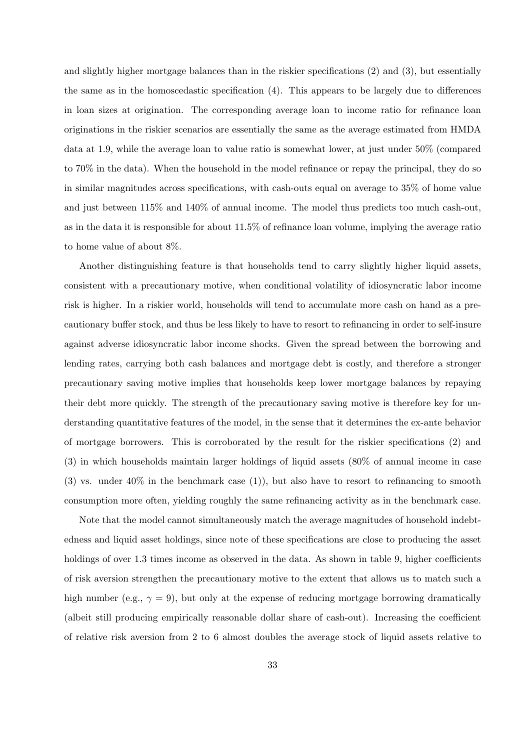and slightly higher mortgage balances than in the riskier specifications (2) and (3), but essentially the same as in the homoscedastic specification  $(4)$ . This appears to be largely due to differences in loan sizes at origination. The corresponding average loan to income ratio for refinance loan originations in the riskier scenarios are essentially the same as the average estimated from HMDA data at 1.9, while the average loan to value ratio is somewhat lower, at just under 50% (compared to 70% in the data). When the household in the model refinance or repay the principal, they do so in similar magnitudes across specifications, with cash-outs equal on average to 35% of home value and just between 115% and 140% of annual income. The model thus predicts too much cash-out, as in the data it is responsible for about 11*.*5% of refinance loan volume, implying the average ratio to home value of about 8%.

Another distinguishing feature is that households tend to carry slightly higher liquid assets, consistent with a precautionary motive, when conditional volatility of idiosyncratic labor income risk is higher. In a riskier world, households will tend to accumulate more cash on hand as a precautionary buffer stock, and thus be less likely to have to resort to refinancing in order to self-insure against adverse idiosyncratic labor income shocks. Given the spread between the borrowing and lending rates, carrying both cash balances and mortgage debt is costly, and therefore a stronger precautionary saving motive implies that households keep lower mortgage balances by repaying their debt more quickly. The strength of the precautionary saving motive is therefore key for understanding quantitative features of the model, in the sense that it determines the ex-ante behavior of mortgage borrowers. This is corroborated by the result for the riskier specifications (2) and (3) in which households maintain larger holdings of liquid assets (80% of annual income in case (3) vs. under  $40\%$  in the benchmark case (1)), but also have to resort to refinancing to smooth consumption more often, yielding roughly the same refinancing activity as in the benchmark case.

Note that the model cannot simultaneously match the average magnitudes of household indebtedness and liquid asset holdings, since note of these specifications are close to producing the asset holdings of over 1.3 times income as observed in the data. As shown in table 9, higher coefficients of risk aversion strengthen the precautionary motive to the extent that allows us to match such a high number (e.g.,  $\gamma = 9$ ), but only at the expense of reducing mortgage borrowing dramatically (albeit still producing empirically reasonable dollar share of cash-out). Increasing the coefficient of relative risk aversion from 2 to 6 almost doubles the average stock of liquid assets relative to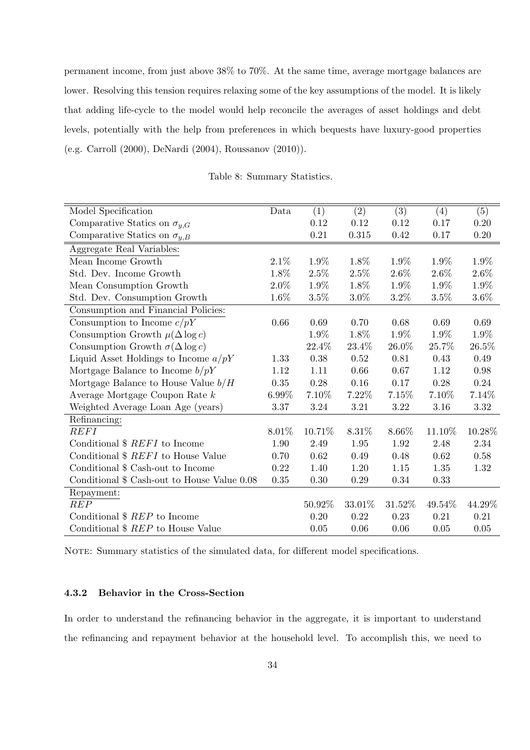permanent income, from just above 38% to 70%. At the same time, average mortgage balances are lower. Resolving this tension requires relaxing some of the key assumptions of the model. It is likely that adding life-cycle to the model would help reconcile the averages of asset holdings and debt levels, potentially with the help from preferences in which bequests have luxury-good properties (e.g. Carroll (2000), DeNardi (2004), Roussanov (2010)).

Table 8: Summary Statistics.

| Model Specification                         | Data     | (1)     | (2)     | (3)     | (4)     | (5)     |
|---------------------------------------------|----------|---------|---------|---------|---------|---------|
| Comparative Statics on $\sigma_{y,G}$       |          | 0.12    | 0.12    | 0.12    | 0.17    | 0.20    |
| Comparative Statics on $\sigma_{y,B}$       |          | 0.21    | 0.315   | 0.42    | 0.17    | 0.20    |
| Aggregate Real Variables:                   |          |         |         |         |         |         |
| Mean Income Growth                          | 2.1%     | 1.9%    | 1.8%    | 1.9%    | 1.9%    | 1.9%    |
| Std. Dev. Income Growth                     | 1.8%     | $2.5\%$ | 2.5%    | $2.6\%$ | 2.6%    | $2.6\%$ |
| Mean Consumption Growth                     | $2.0\%$  | 1.9%    | 1.8%    | 1.9%    | 1.9%    | 1.9%    |
| Std. Dev. Consumption Growth                | 1.6%     | $3.5\%$ | $3.0\%$ | $3.2\%$ | $3.5\%$ | $3.6\%$ |
| Consumption and Financial Policies:         |          |         |         |         |         |         |
| Consumption to Income $c/pY$                | 0.66     | 0.69    | 0.70    | 0.68    | 0.69    | 0.69    |
| Consumption Growth $\mu(\Delta \log c)$     |          | 1.9%    | 1.8%    | 1.9%    | 1.9%    | 1.9%    |
| Consumption Growth $\sigma(\Delta \log c)$  |          | 22.4%   | 23.4%   | 26.0%   | 25.7%   | 26.5%   |
| Liquid Asset Holdings to Income $a/pY$      | 1.33     | 0.38    | 0.52    | 0.81    | 0.43    | 0.49    |
| Mortgage Balance to Income $b/pY$           | 1.12     | 1.11    | 0.66    | 0.67    | 1.12    | 0.98    |
| Mortgage Balance to House Value $b/H$       | $0.35\,$ | 0.28    | 0.16    | 0.17    | 0.28    | 0.24    |
| Average Mortgage Coupon Rate $k$            | 6.99%    | 7.10%   | 7.22%   | 7.15%   | 7.10%   | 7.14%   |
| Weighted Average Loan Age (years)           | 3.37     | 3.24    | 3.21    | 3.22    | 3.16    | 3.32    |
| Refinancing:                                |          |         |         |         |         |         |
| <b>REFI</b>                                 | 8.01%    | 10.71%  | 8.31%   | 8.66%   | 11.10%  | 10.28%  |
| Conditional \$ REFI to Income               | 1.90     | 2.49    | 1.95    | 1.92    | 2.48    | 2.34    |
| Conditional \$ REFI to House Value          | 0.70     | 0.62    | 0.49    | 0.48    | 0.62    | 0.58    |
| Conditional \$ Cash-out to Income           | 0.22     | 1.40    | 1.20    | 1.15    | 1.35    | 1.32    |
| Conditional \$ Cash-out to House Value 0.08 | 0.35     | 0.30    | 0.29    | 0.34    | 0.33    |         |
| Repayment:                                  |          |         |         |         |         |         |
| REP                                         |          | 50.92%  | 33.01%  | 31.52%  | 49.54%  | 44.29%  |
| Conditional $\frac{1}{2}$ REP to Income     |          | 0.20    | 0.22    | 0.23    | 0.21    | 0.21    |
| Conditional \$ REP to House Value           |          | 0.05    | 0.06    | 0.06    | 0.05    | 0.05    |

NOTE: Summary statistics of the simulated data, for different model specifications.

### 4.3.2 Behavior in the Cross-Section

In order to understand the refinancing behavior in the aggregate, it is important to understand the refinancing and repayment behavior at the household level. To accomplish this, we need to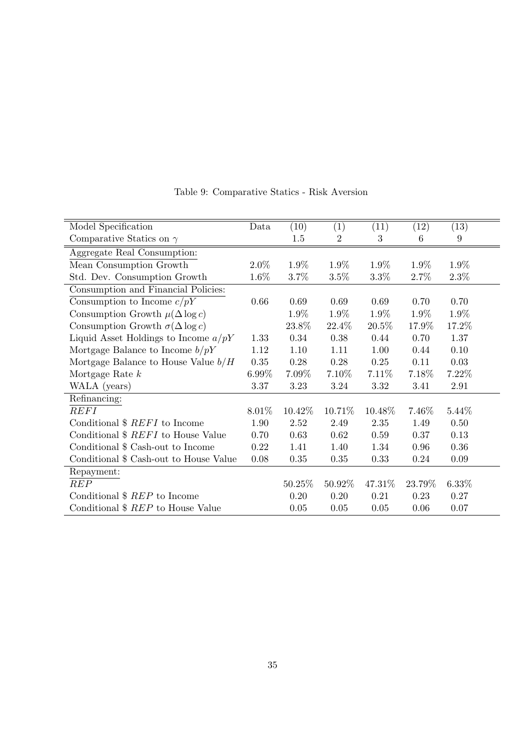| Model Specification                        | Data    | (10)   | (1)            | (11)     | (12)   | (13)    |
|--------------------------------------------|---------|--------|----------------|----------|--------|---------|
| Comparative Statics on $\gamma$            |         | 1.5    | $\overline{2}$ | 3        | 6      | 9       |
| Aggregate Real Consumption:                |         |        |                |          |        |         |
| Mean Consumption Growth                    | $2.0\%$ | 1.9%   | 1.9%           | 1.9%     | 1.9%   | 1.9%    |
| Std. Dev. Consumption Growth               | 1.6%    | 3.7%   | 3.5%           | 3.3%     | 2.7%   | $2.3\%$ |
| Consumption and Financial Policies:        |         |        |                |          |        |         |
| Consumption to Income $c/pY$               | 0.66    | 0.69   | 0.69           | 0.69     | 0.70   | 0.70    |
| Consumption Growth $\mu(\Delta \log c)$    |         | 1.9%   | 1.9%           | 1.9%     | 1.9%   | 1.9%    |
| Consumption Growth $\sigma(\Delta \log c)$ |         | 23.8%  | 22.4%          | 20.5%    | 17.9%  | 17.2%   |
| Liquid Asset Holdings to Income $a/pY$     | 1.33    | 0.34   | 0.38           | 0.44     | 0.70   | 1.37    |
| Mortgage Balance to Income $b/pY$          | 1.12    | 1.10   | 1.11           | 1.00     | 0.44   | 0.10    |
| Mortgage Balance to House Value $b/H$      | 0.35    | 0.28   | 0.28           | 0.25     | 0.11   | 0.03    |
| Mortgage Rate $k$                          | 6.99%   | 7.09%  | 7.10%          | 7.11\%   | 7.18%  | 7.22%   |
| WALA (years)                               | 3.37    | 3.23   | 3.24           | 3.32     | 3.41   | 2.91    |
| Refinancing:                               |         |        |                |          |        |         |
| REFI                                       | 8.01%   | 10.42% | 10.71%         | 10.48%   | 7.46%  | 5.44%   |
| Conditional $\frac{1}{2}$ REFI to Income   | 1.90    | 2.52   | 2.49           | $2.35\,$ | 1.49   | 0.50    |
| Conditional \$ REFI to House Value         | 0.70    | 0.63   | 0.62           | 0.59     | 0.37   | 0.13    |
| Conditional \$ Cash-out to Income          | 0.22    | 1.41   | 1.40           | 1.34     | 0.96   | 0.36    |
| Conditional \$ Cash-out to House Value     | 0.08    | 0.35   | 0.35           | 0.33     | 0.24   | 0.09    |
| Repayment:                                 |         |        |                |          |        |         |
| REP                                        |         | 50.25% | 50.92%         | 47.31%   | 23.79% | 6.33%   |
| Conditional \$ REP to Income               |         | 0.20   | 0.20           | 0.21     | 0.23   | 0.27    |
| Conditional \$ REP to House Value          |         | 0.05   | 0.05           | 0.05     | 0.06   | 0.07    |

Table 9: Comparative Statics - Risk Aversion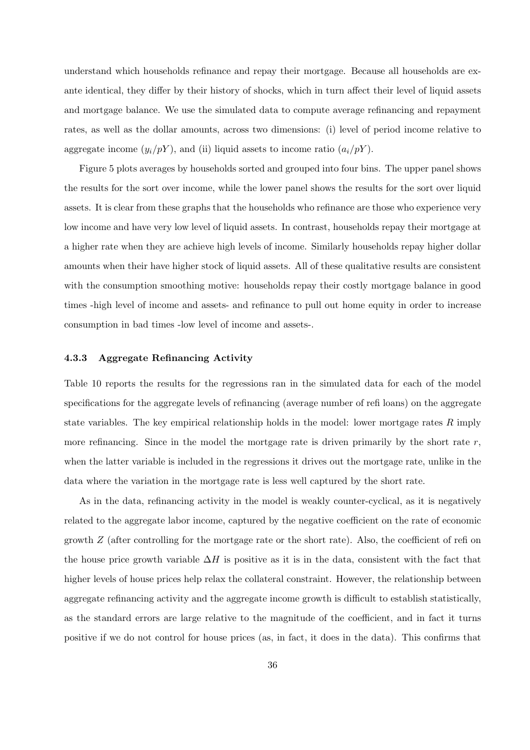understand which households refinance and repay their mortgage. Because all households are exante identical, they differ by their history of shocks, which in turn affect their level of liquid assets and mortgage balance. We use the simulated data to compute average refinancing and repayment rates, as well as the dollar amounts, across two dimensions: (i) level of period income relative to aggregate income  $(y_i/pY)$ , and (ii) liquid assets to income ratio  $(a_i/pY)$ .

Figure 5 plots averages by households sorted and grouped into four bins. The upper panel shows the results for the sort over income, while the lower panel shows the results for the sort over liquid assets. It is clear from these graphs that the households who refinance are those who experience very low income and have very low level of liquid assets. In contrast, households repay their mortgage at a higher rate when they are achieve high levels of income. Similarly households repay higher dollar amounts when their have higher stock of liquid assets. All of these qualitative results are consistent with the consumption smoothing motive: households repay their costly mortgage balance in good times -high level of income and assets- and refinance to pull out home equity in order to increase consumption in bad times -low level of income and assets-.

### 4.3.3 Aggregate Refinancing Activity

Table 10 reports the results for the regressions ran in the simulated data for each of the model specifications for the aggregate levels of refinancing (average number of refi loans) on the aggregate state variables. The key empirical relationship holds in the model: lower mortgage rates *R* imply more refinancing. Since in the model the mortgage rate is driven primarily by the short rate *r*, when the latter variable is included in the regressions it drives out the mortgage rate, unlike in the data where the variation in the mortgage rate is less well captured by the short rate.

As in the data, refinancing activity in the model is weakly counter-cyclical, as it is negatively related to the aggregate labor income, captured by the negative coefficient on the rate of economic growth  $Z$  (after controlling for the mortgage rate or the short rate). Also, the coefficient of refi on the house price growth variable  $\Delta H$  is positive as it is in the data, consistent with the fact that higher levels of house prices help relax the collateral constraint. However, the relationship between aggregate refinancing activity and the aggregate income growth is difficult to establish statistically, as the standard errors are large relative to the magnitude of the coefficient, and in fact it turns positive if we do not control for house prices (as, in fact, it does in the data). This confirms that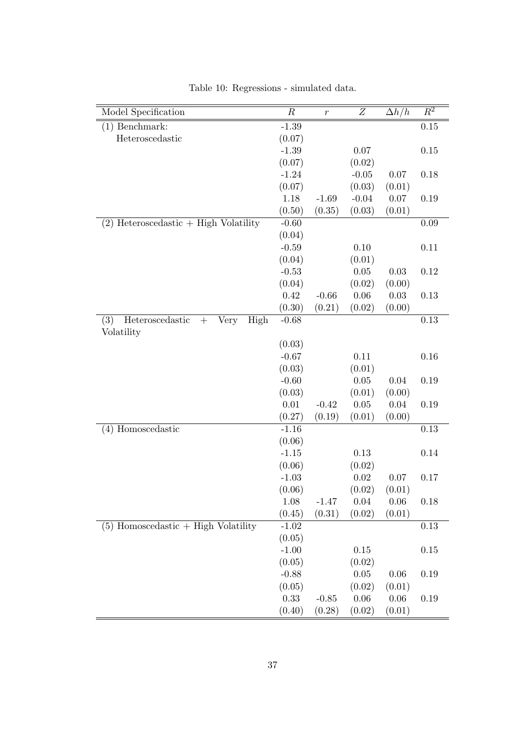| Model Specification                                            | $\boldsymbol{R}$ | $\boldsymbol{r}$ | $\boldsymbol{Z}$ | $\Delta h/h$ | $\overline{R^2}$ |
|----------------------------------------------------------------|------------------|------------------|------------------|--------------|------------------|
| $(1)$ Benchmark:                                               | $-1.39$          |                  |                  |              | 0.15             |
| Heteroscedastic                                                | (0.07)           |                  |                  |              |                  |
|                                                                | $-1.39$          |                  | 0.07             |              | 0.15             |
|                                                                | (0.07)           |                  | (0.02)           |              |                  |
|                                                                | $-1.24$          |                  | $-0.05$          | 0.07         | 0.18             |
|                                                                | (0.07)           |                  | (0.03)           | (0.01)       |                  |
|                                                                | 1.18             | $-1.69$          | $-0.04$          | 0.07         | 0.19             |
|                                                                | (0.50)           | (0.35)           | (0.03)           | (0.01)       |                  |
| $(2)$ Heteroscedastic + High Volatility                        | $-0.60$          |                  |                  |              | 0.09             |
|                                                                | (0.04)           |                  |                  |              |                  |
|                                                                | $-0.59$          |                  | 0.10             |              | 0.11             |
|                                                                | (0.04)           |                  | (0.01)           |              |                  |
|                                                                | $-0.53$          |                  | 0.05             | 0.03         | 0.12             |
|                                                                | (0.04)           |                  | (0.02)           | (0.00)       |                  |
|                                                                | $0.42\,$         | $-0.66$          | 0.06             | 0.03         | 0.13             |
|                                                                | (0.30)           | (0.21)           | (0.02)           | (0.00)       |                  |
| Heteroscedastic<br>Very<br>High<br>(3)<br>$^{+}$<br>Volatility | $-0.68$          |                  |                  |              | 0.13             |
|                                                                | (0.03)           |                  |                  |              |                  |
|                                                                | $-0.67$          |                  | 0.11             |              | 0.16             |
|                                                                | (0.03)           |                  | (0.01)           |              |                  |
|                                                                | $-0.60$          |                  | $0.05\,$         | $0.04\,$     | 0.19             |
|                                                                | (0.03)           |                  | (0.01)           | (0.00)       |                  |
|                                                                | 0.01             | $-0.42$          | 0.05             | 0.04         | 0.19             |
|                                                                | (0.27)           | (0.19)           | (0.01)           | (0.00)       |                  |
| (4) Homoscedastic                                              | $-1.16$          |                  |                  |              | 0.13             |
|                                                                | (0.06)           |                  |                  |              |                  |
|                                                                | $-1.15$          |                  | 0.13             |              | 0.14             |
|                                                                | (0.06)           |                  | (0.02)           |              |                  |
|                                                                | $-1.03$          |                  | 0.02             | 0.07         | 0.17             |
|                                                                | (0.06)           |                  | (0.02)           | (0.01)       |                  |
|                                                                | 1.08             | $-1.47$          | 0.04             | 0.06         | 0.18             |
|                                                                | (0.45)           | (0.31)           | (0.02)           | (0.01)       |                  |
| $(5)$ Homoscedastic + High Volatility                          | $-1.02$          |                  |                  |              | 0.13             |
|                                                                | (0.05)           |                  |                  |              |                  |
|                                                                | $-1.00$          |                  | 0.15             |              | 0.15             |
|                                                                | (0.05)           |                  | (0.02)           |              |                  |
|                                                                | $-0.88$          |                  | 0.05             | 0.06         | 0.19             |
|                                                                | (0.05)           |                  | (0.02)           | (0.01)       |                  |
|                                                                | 0.33             | $-0.85$          | 0.06             | 0.06         | 0.19             |
|                                                                | (0.40)           | (0.28)           | (0.02)           | (0.01)       |                  |

Table 10: Regressions - simulated data.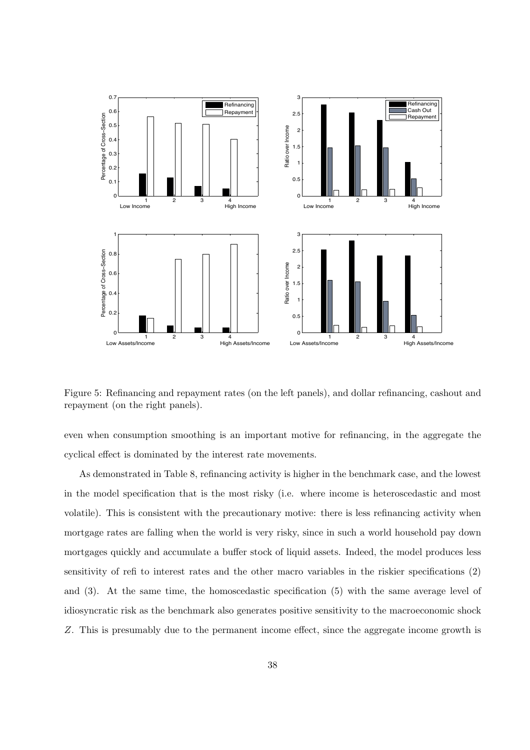

Figure 5: Refinancing and repayment rates (on the left panels), and dollar refinancing, cashout and repayment (on the right panels).

even when consumption smoothing is an important motive for refinancing, in the aggregate the cyclical effect is dominated by the interest rate movements.

As demonstrated in Table 8, refinancing activity is higher in the benchmark case, and the lowest in the model specification that is the most risky (i.e. where income is heteroscedastic and most volatile). This is consistent with the precautionary motive: there is less refinancing activity when mortgage rates are falling when the world is very risky, since in such a world household pay down mortgages quickly and accumulate a buffer stock of liquid assets. Indeed, the model produces less sensitivity of refi to interest rates and the other macro variables in the riskier specifications (2) and (3). At the same time, the homoscedastic specification (5) with the same average level of idiosyncratic risk as the benchmark also generates positive sensitivity to the macroeconomic shock Z. This is presumably due to the permanent income effect, since the aggregate income growth is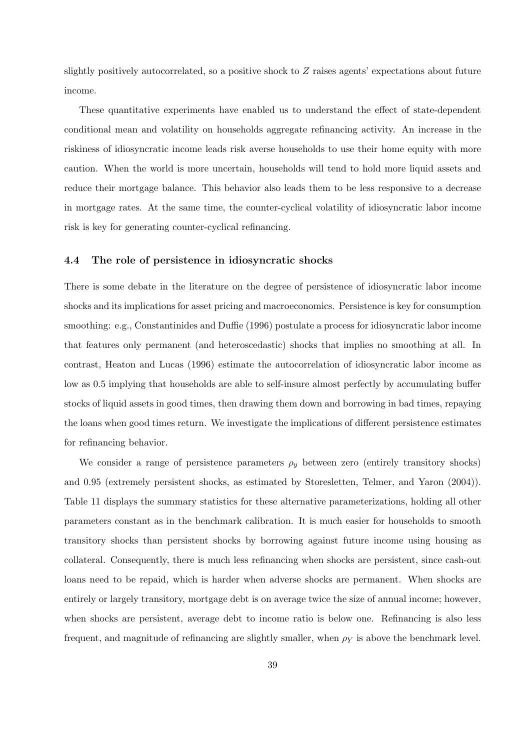slightly positively autocorrelated, so a positive shock to *Z* raises agents' expectations about future income.

These quantitative experiments have enabled us to understand the effect of state-dependent conditional mean and volatility on households aggregate refinancing activity. An increase in the riskiness of idiosyncratic income leads risk averse households to use their home equity with more caution. When the world is more uncertain, households will tend to hold more liquid assets and reduce their mortgage balance. This behavior also leads them to be less responsive to a decrease in mortgage rates. At the same time, the counter-cyclical volatility of idiosyncratic labor income risk is key for generating counter-cyclical refinancing.

### 4.4 The role of persistence in idiosyncratic shocks

There is some debate in the literature on the degree of persistence of idiosyncratic labor income shocks and its implications for asset pricing and macroeconomics. Persistence is key for consumption smoothing: e.g., Constantinides and Duffie (1996) postulate a process for idiosyncratic labor income that features only permanent (and heteroscedastic) shocks that implies no smoothing at all. In contrast, Heaton and Lucas (1996) estimate the autocorrelation of idiosyncratic labor income as low as 0.5 implying that households are able to self-insure almost perfectly by accumulating buffer stocks of liquid assets in good times, then drawing them down and borrowing in bad times, repaying the loans when good times return. We investigate the implications of different persistence estimates for refinancing behavior.

We consider a range of persistence parameters  $\rho_y$  between zero (entirely transitory shocks) and 0*.*95 (extremely persistent shocks, as estimated by Storesletten, Telmer, and Yaron (2004)). Table 11 displays the summary statistics for these alternative parameterizations, holding all other parameters constant as in the benchmark calibration. It is much easier for households to smooth transitory shocks than persistent shocks by borrowing against future income using housing as collateral. Consequently, there is much less refinancing when shocks are persistent, since cash-out loans need to be repaid, which is harder when adverse shocks are permanent. When shocks are entirely or largely transitory, mortgage debt is on average twice the size of annual income; however, when shocks are persistent, average debt to income ratio is below one. Refinancing is also less frequent, and magnitude of refinancing are slightly smaller, when  $\rho_Y$  is above the benchmark level.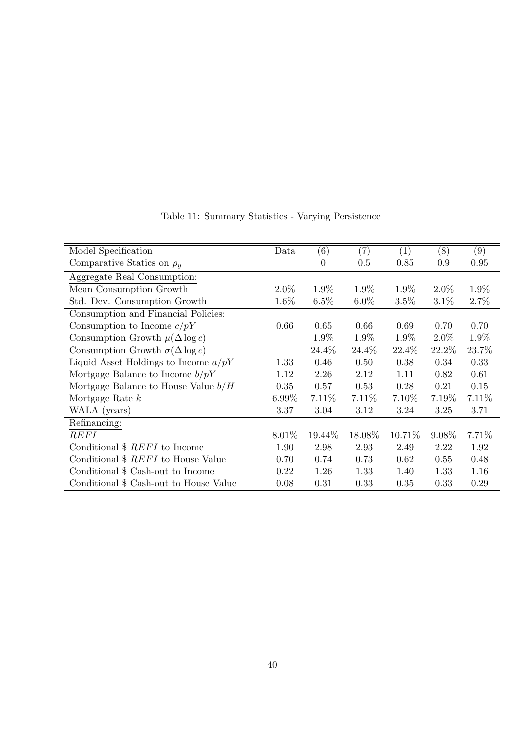| Model Specification                        | Data     | (6)      | (7)     | (1)     | (8)     | (9)   |
|--------------------------------------------|----------|----------|---------|---------|---------|-------|
| Comparative Statics on $\rho_y$            |          | $\theta$ | 0.5     | 0.85    | 0.9     | 0.95  |
| Aggregate Real Consumption:                |          |          |         |         |         |       |
| Mean Consumption Growth                    | $2.0\%$  | $1.9\%$  | $1.9\%$ | 1.9%    | $2.0\%$ | 1.9%  |
| Std. Dev. Consumption Growth               | 1.6%     | $6.5\%$  | $6.0\%$ | 3.5%    | 3.1%    | 2.7%  |
| Consumption and Financial Policies:        |          |          |         |         |         |       |
| Consumption to Income $c/pY$               | 0.66     | 0.65     | 0.66    | 0.69    | 0.70    | 0.70  |
| Consumption Growth $\mu(\Delta \log c)$    |          | 1.9%     | 1.9%    | 1.9%    | $2.0\%$ | 1.9%  |
| Consumption Growth $\sigma(\Delta \log c)$ |          | 24.4\%   | 24.4%   | 22.4%   | 22.2%   | 23.7% |
| Liquid Asset Holdings to Income $a/pY$     | 1.33     | 0.46     | 0.50    | 0.38    | 0.34    | 0.33  |
| Mortgage Balance to Income $b/pY$          | 1.12     | 2.26     | 2.12    | 1.11    | 0.82    | 0.61  |
| Mortgage Balance to House Value $b/H$      | 0.35     | 0.57     | 0.53    | 0.28    | 0.21    | 0.15  |
| Mortgage Rate $k$                          | $6.99\%$ | 7.11%    | 7.11%   | 7.10\%  | 7.19%   | 7.11% |
| WALA (years)                               | 3.37     | 3.04     | 3.12    | 3.24    | 3.25    | 3.71  |
| Refinancing:                               |          |          |         |         |         |       |
| <b>REFI</b>                                | 8.01\%   | 19.44\%  | 18.08%  | 10.71\% | 9.08%   | 7.71% |
| Conditional \$ REFI to Income              | 1.90     | 2.98     | 2.93    | 2.49    | 2.22    | 1.92  |
| Conditional \$ REFI to House Value         | 0.70     | 0.74     | 0.73    | 0.62    | 0.55    | 0.48  |
| Conditional \$ Cash-out to Income          | 0.22     | 1.26     | 1.33    | 1.40    | 1.33    | 1.16  |
| Conditional \$ Cash-out to House Value     | 0.08     | 0.31     | 0.33    | 0.35    | 0.33    | 0.29  |

Table 11: Summary Statistics - Varying Persistence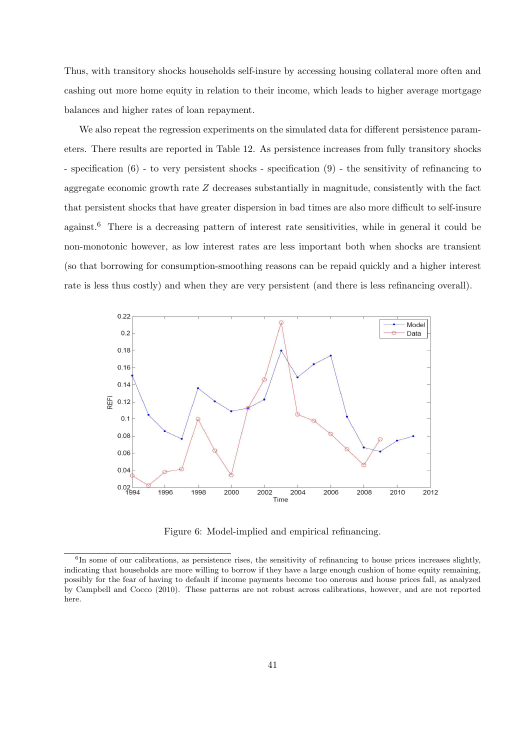Thus, with transitory shocks households self-insure by accessing housing collateral more often and cashing out more home equity in relation to their income, which leads to higher average mortgage balances and higher rates of loan repayment.

We also repeat the regression experiments on the simulated data for different persistence parameters. There results are reported in Table 12. As persistence increases from fully transitory shocks - specification (6) - to very persistent shocks - specification (9) - the sensitivity of refinancing to aggregate economic growth rate *Z* decreases substantially in magnitude, consistently with the fact that persistent shocks that have greater dispersion in bad times are also more difficult to self-insure against.<sup>6</sup> There is a decreasing pattern of interest rate sensitivities, while in general it could be non-monotonic however, as low interest rates are less important both when shocks are transient (so that borrowing for consumption-smoothing reasons can be repaid quickly and a higher interest rate is less thus costly) and when they are very persistent (and there is less refinancing overall).



Figure 6: Model-implied and empirical refinancing.

 ${}^{6}$ In some of our calibrations, as persistence rises, the sensitivity of refinancing to house prices increases slightly, indicating that households are more willing to borrow if they have a large enough cushion of home equity remaining, possibly for the fear of having to default if income payments become too onerous and house prices fall, as analyzed by Campbell and Cocco (2010). These patterns are not robust across calibrations, however, and are not reported here.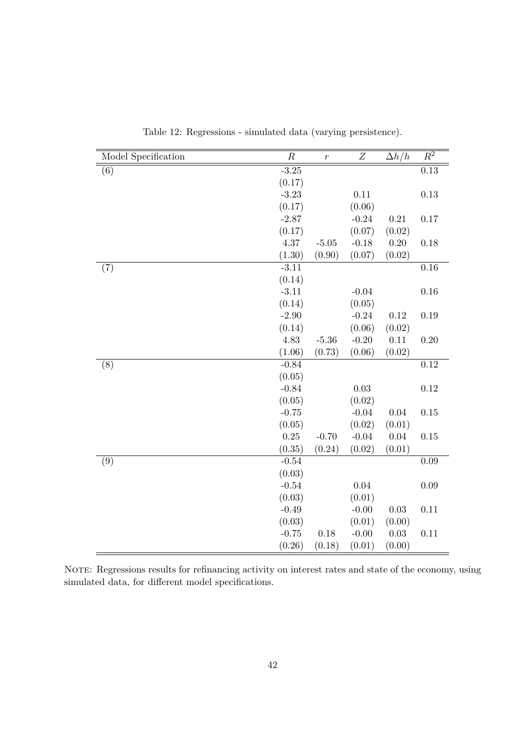| Model Specification | $\overline{R}$ | $\boldsymbol{r}$ | $\overline{Z}$ | $\overline{\Delta h/h}$ | $\overline{R^2}$ |
|---------------------|----------------|------------------|----------------|-------------------------|------------------|
| (6)                 | $-3.25$        |                  |                |                         | 0.13             |
|                     | (0.17)         |                  |                |                         |                  |
|                     | $-3.23$        |                  | 0.11           |                         | $0.13\,$         |
|                     | (0.17)         |                  | (0.06)         |                         |                  |
|                     | $-2.87$        |                  | $-0.24$        | $0.21\,$                | 0.17             |
|                     | (0.17)         |                  | (0.07)         | (0.02)                  |                  |
|                     | $4.37\,$       | $-5.05$          | $-0.18$        | $0.20\,$                | 0.18             |
|                     | (1.30)         | (0.90)           | (0.07)         | (0.02)                  |                  |
| (7)                 | $-3.11$        |                  |                |                         | $0.16\,$         |
|                     | (0.14)         |                  |                |                         |                  |
|                     | $-3.11$        |                  | $-0.04$        |                         | 0.16             |
|                     | (0.14)         |                  | (0.05)         |                         |                  |
|                     | $-2.90$        |                  | $-0.24$        | 0.12                    | 0.19             |
|                     | (0.14)         |                  | (0.06)         | (0.02)                  |                  |
|                     | 4.83           | $-5.36$          | $-0.20$        | $0.11\,$                | 0.20             |
|                     | (1.06)         | (0.73)           | (0.06)         | (0.02)                  |                  |
| (8)                 | $-0.84$        |                  |                |                         | 0.12             |
|                     | (0.05)         |                  |                |                         |                  |
|                     | $-0.84$        |                  | 0.03           |                         | $0.12\,$         |
|                     | (0.05)         |                  | (0.02)         |                         |                  |
|                     | $-0.75$        |                  | $-0.04$        | $0.04\,$                | 0.15             |
|                     | (0.05)         |                  | (0.02)         | (0.01)                  |                  |
|                     | 0.25           | $-0.70$          | $-0.04$        | 0.04                    | 0.15             |
|                     | (0.35)         | (0.24)           | (0.02)         | (0.01)                  |                  |
| (9)                 | $-0.54$        |                  |                |                         | 0.09             |
|                     | (0.03)         |                  |                |                         |                  |
|                     | $-0.54$        |                  | $0.04\,$       |                         | $0.09\,$         |
|                     | (0.03)         |                  | (0.01)         |                         |                  |
|                     | $-0.49$        |                  | $-0.00$        | 0.03                    | $0.11\,$         |
|                     | (0.03)         |                  | (0.01)         | (0.00)                  |                  |
|                     | $-0.75$        | 0.18             | $-0.00$        | $\rm 0.03$              | 0.11             |
|                     | (0.26)         | (0.18)           | (0.01)         | (0.00)                  |                  |

Table 12: Regressions - simulated data (varying persistence).

NOTE: Regressions results for refinancing activity on interest rates and state of the economy, using simulated data, for different model specifications.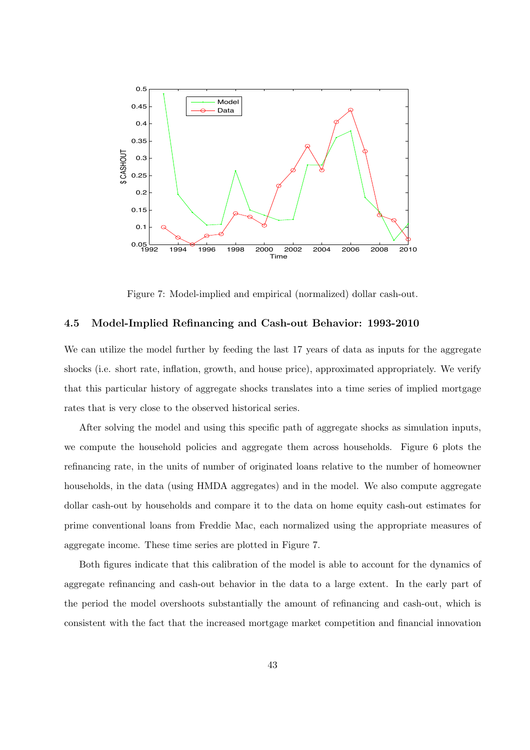

Figure 7: Model-implied and empirical (normalized) dollar cash-out.

### 4.5 Model-Implied Refinancing and Cash-out Behavior: 1993-2010

We can utilize the model further by feeding the last 17 years of data as inputs for the aggregate shocks (i.e. short rate, inflation, growth, and house price), approximated appropriately. We verify that this particular history of aggregate shocks translates into a time series of implied mortgage rates that is very close to the observed historical series.

After solving the model and using this specific path of aggregate shocks as simulation inputs, we compute the household policies and aggregate them across households. Figure 6 plots the refinancing rate, in the units of number of originated loans relative to the number of homeowner households, in the data (using HMDA aggregates) and in the model. We also compute aggregate dollar cash-out by households and compare it to the data on home equity cash-out estimates for prime conventional loans from Freddie Mac, each normalized using the appropriate measures of aggregate income. These time series are plotted in Figure 7.

Both figures indicate that this calibration of the model is able to account for the dynamics of aggregate refinancing and cash-out behavior in the data to a large extent. In the early part of the period the model overshoots substantially the amount of refinancing and cash-out, which is consistent with the fact that the increased mortgage market competition and financial innovation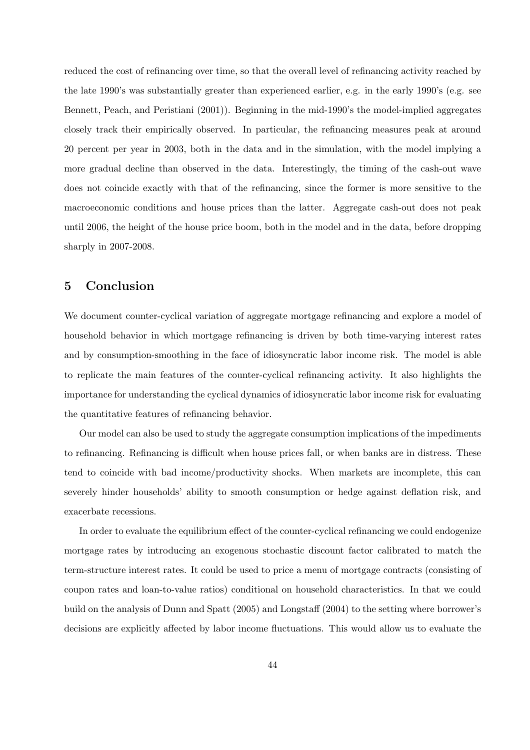reduced the cost of refinancing over time, so that the overall level of refinancing activity reached by the late 1990's was substantially greater than experienced earlier, e.g. in the early 1990's (e.g. see Bennett, Peach, and Peristiani (2001)). Beginning in the mid-1990's the model-implied aggregates closely track their empirically observed. In particular, the refinancing measures peak at around 20 percent per year in 2003, both in the data and in the simulation, with the model implying a more gradual decline than observed in the data. Interestingly, the timing of the cash-out wave does not coincide exactly with that of the refinancing, since the former is more sensitive to the macroeconomic conditions and house prices than the latter. Aggregate cash-out does not peak until 2006, the height of the house price boom, both in the model and in the data, before dropping sharply in 2007-2008.

# 5 Conclusion

We document counter-cyclical variation of aggregate mortgage refinancing and explore a model of household behavior in which mortgage refinancing is driven by both time-varying interest rates and by consumption-smoothing in the face of idiosyncratic labor income risk. The model is able to replicate the main features of the counter-cyclical refinancing activity. It also highlights the importance for understanding the cyclical dynamics of idiosyncratic labor income risk for evaluating the quantitative features of refinancing behavior.

Our model can also be used to study the aggregate consumption implications of the impediments to refinancing. Refinancing is difficult when house prices fall, or when banks are in distress. These tend to coincide with bad income/productivity shocks. When markets are incomplete, this can severely hinder households' ability to smooth consumption or hedge against deflation risk, and exacerbate recessions.

In order to evaluate the equilibrium effect of the counter-cyclical refinancing we could endogenize mortgage rates by introducing an exogenous stochastic discount factor calibrated to match the term-structure interest rates. It could be used to price a menu of mortgage contracts (consisting of coupon rates and loan-to-value ratios) conditional on household characteristics. In that we could build on the analysis of Dunn and Spatt (2005) and LongstaÆ (2004) to the setting where borrower's decisions are explicitly affected by labor income fluctuations. This would allow us to evaluate the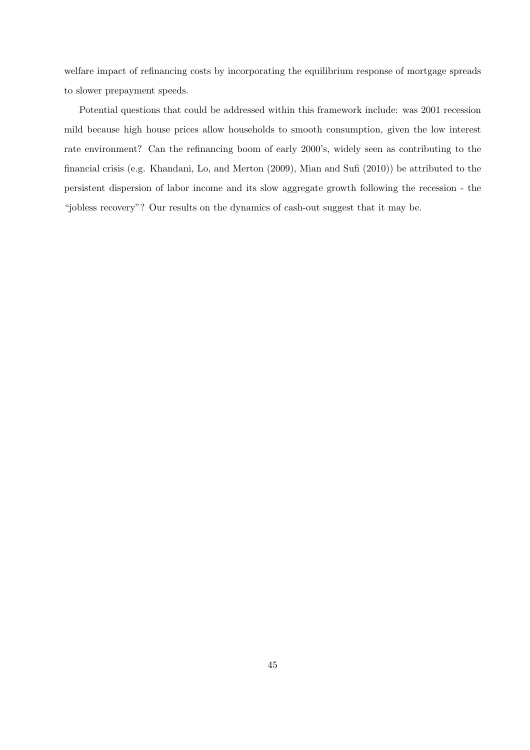welfare impact of refinancing costs by incorporating the equilibrium response of mortgage spreads to slower prepayment speeds.

Potential questions that could be addressed within this framework include: was 2001 recession mild because high house prices allow households to smooth consumption, given the low interest rate environment? Can the refinancing boom of early 2000's, widely seen as contributing to the financial crisis (e.g. Khandani, Lo, and Merton (2009), Mian and Sufi (2010)) be attributed to the persistent dispersion of labor income and its slow aggregate growth following the recession - the "jobless recovery"? Our results on the dynamics of cash-out suggest that it may be.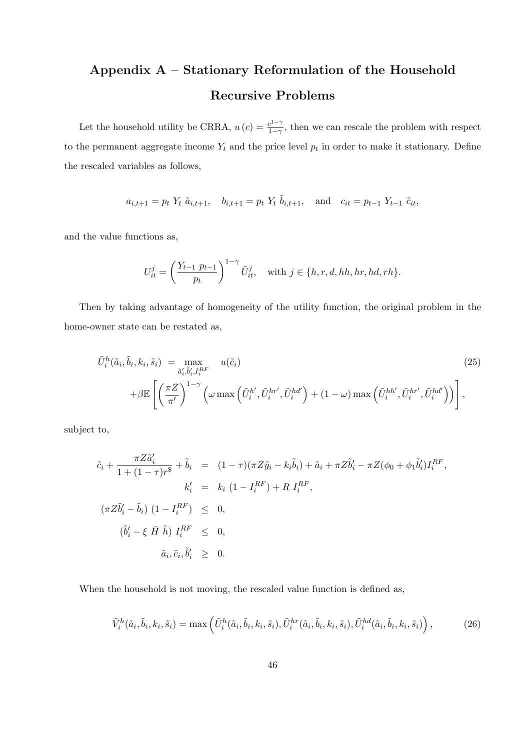# Appendix A – Stationary Reformulation of the Household Recursive Problems

Let the household utility be CRRA,  $u(c) = \frac{c^{1-\gamma}}{1-\gamma}$ , then we can rescale the problem with respect to the permanent aggregate income  $Y_t$  and the price level  $p_t$  in order to make it stationary. Define the rescaled variables as follows,

$$
a_{i,t+1} = p_t Y_t \tilde{a}_{i,t+1}, \quad b_{i,t+1} = p_t Y_t \tilde{b}_{i,t+1}, \quad \text{and} \quad c_{it} = p_{t-1} Y_{t-1} \tilde{c}_{it},
$$

and the value functions as,

$$
U_{it}^j = \left(\frac{Y_{t-1} p_{t-1}}{p_t}\right)^{1-\gamma} \tilde{U}_{it}^j, \quad \text{with } j \in \{h, r, d, hh, hr, hd, rh\}.
$$

Then by taking advantage of homogeneity of the utility function, the original problem in the home-owner state can be restated as,

$$
\tilde{U}_i^h(\tilde{a}_i, \tilde{b}_i, k_i, \tilde{s}_i) = \max_{\tilde{a}'_i, \tilde{b}'_i, I_i^{RF}} u(\tilde{c}_i)
$$
\n
$$
+ \beta \mathbb{E}\left[\left(\frac{\pi Z}{\pi'}\right)^{1-\gamma} \left(\omega \max\left(\tilde{U}_i^{h'}, \tilde{U}_i^{hr'}, \tilde{U}_i^{hd'}\right) + (1-\omega) \max\left(\tilde{U}_i^{hh'}, \tilde{U}_i^{hr'}, \tilde{U}_i^{hd'}\right)\right)\right],
$$
\n(25)

subject to,

$$
\tilde{c}_i + \frac{\pi Z \tilde{a}'_i}{1 + (1 - \tau)r^{\$}} + \tilde{b}_i = (1 - \tau)(\pi Z \tilde{y}_i - k_i \tilde{b}_i) + \tilde{a}_i + \pi Z \tilde{b}'_i - \pi Z(\phi_0 + \phi_1 \tilde{b}'_i) I_i^{RF},
$$
\n
$$
k'_i = k_i (1 - I_i^{RF}) + R I_i^{RF},
$$
\n
$$
(\pi Z \tilde{b}'_i - \tilde{b}_i) (1 - I_i^{RF}) \leq 0,
$$
\n
$$
(\tilde{b}'_i - \xi \bar{H} \tilde{h}) I_i^{RF} \leq 0,
$$
\n
$$
\tilde{a}_i, \tilde{c}_i, \tilde{b}'_i \geq 0.
$$

When the household is not moving, the rescaled value function is defined as,

$$
\tilde{V}_i^h(\tilde{a}_i, \tilde{b}_i, k_i, \tilde{s}_i) = \max\left(\tilde{U}_i^h(\tilde{a}_i, \tilde{b}_i, k_i, \tilde{s}_i), \tilde{U}_i^{hr}(\tilde{a}_i, \tilde{b}_i, k_i, \tilde{s}_i), \tilde{U}_i^{hd}(\tilde{a}_i, \tilde{b}_i, k_i, \tilde{s}_i)\right),\tag{26}
$$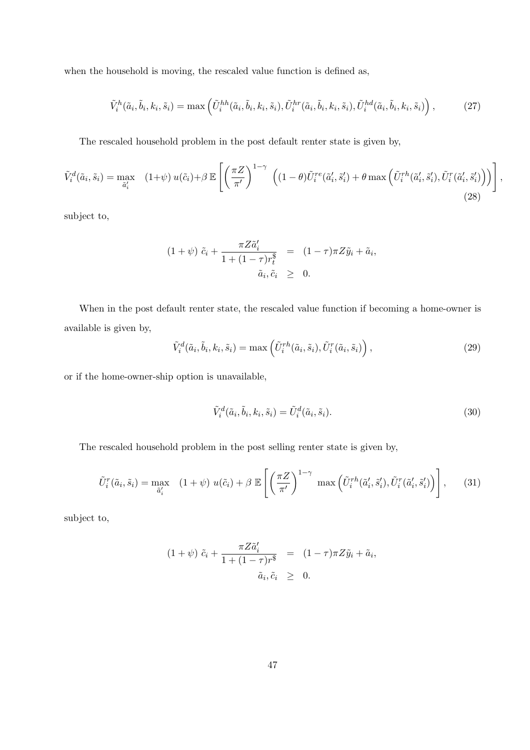when the household is moving, the rescaled value function is defined as,

$$
\tilde{V}_i^h(\tilde{a}_i, \tilde{b}_i, k_i, \tilde{s}_i) = \max\left(\tilde{U}_i^{hh}(\tilde{a}_i, \tilde{b}_i, k_i, \tilde{s}_i), \tilde{U}_i^{hr}(\tilde{a}_i, \tilde{b}_i, k_i, \tilde{s}_i), \tilde{U}_i^{hd}(\tilde{a}_i, \tilde{b}_i, k_i, \tilde{s}_i)\right),\tag{27}
$$

The rescaled household problem in the post default renter state is given by,

$$
\tilde{V}_i^d(\tilde{a}_i, \tilde{s}_i) = \max_{\tilde{a}'_i} \quad (1+\psi) \ u(\tilde{c}_i) + \beta \mathbb{E}\left[\left(\frac{\pi Z}{\pi'}\right)^{1-\gamma} \ \left((1-\theta)\tilde{U}_i^{re}(\tilde{a}'_i, \tilde{s}'_i) + \theta \max\left(\tilde{U}_i^{rh}(\tilde{a}'_i, \tilde{s}'_i), \tilde{U}_i^{r}(\tilde{a}'_i, \tilde{s}'_i)\right)\right)\right],
$$
\n(28)

subject to,

$$
(1 + \psi) \tilde{c}_i + \frac{\pi Z \tilde{a}'_i}{1 + (1 - \tau) r_t^{\$}} = (1 - \tau) \pi Z \tilde{y}_i + \tilde{a}_i,
$$
  

$$
\tilde{a}_i, \tilde{c}_i \geq 0.
$$

When in the post default renter state, the rescaled value function if becoming a home-owner is available is given by,

$$
\tilde{V}_i^d(\tilde{a}_i, \tilde{b}_i, k_i, \tilde{s}_i) = \max\left(\tilde{U}_i^{rh}(\tilde{a}_i, \tilde{s}_i), \tilde{U}_i^r(\tilde{a}_i, \tilde{s}_i)\right),\tag{29}
$$

or if the home-owner-ship option is unavailable,

$$
\tilde{V}_i^d(\tilde{a}_i, \tilde{b}_i, k_i, \tilde{s}_i) = \tilde{U}_i^d(\tilde{a}_i, \tilde{s}_i). \tag{30}
$$

The rescaled household problem in the post selling renter state is given by,

$$
\tilde{U}_i^r(\tilde{a}_i, \tilde{s}_i) = \max_{\tilde{a}'_i} \quad (1 + \psi) \ u(\tilde{c}_i) + \beta \ \mathbb{E}\left[\left(\frac{\pi Z}{\pi'}\right)^{1-\gamma} \max\left(\tilde{U}_i^{rh}(\tilde{a}'_i, \tilde{s}'_i), \tilde{U}_i^r(\tilde{a}'_i, \tilde{s}'_i)\right)\right],\tag{31}
$$

subject to,

$$
(1 + \psi) \tilde{c}_i + \frac{\pi Z \tilde{a}'_i}{1 + (1 - \tau)r^{\$}} = (1 - \tau)\pi Z \tilde{y}_i + \tilde{a}_i,
$$
  

$$
\tilde{a}_i, \tilde{c}_i \geq 0.
$$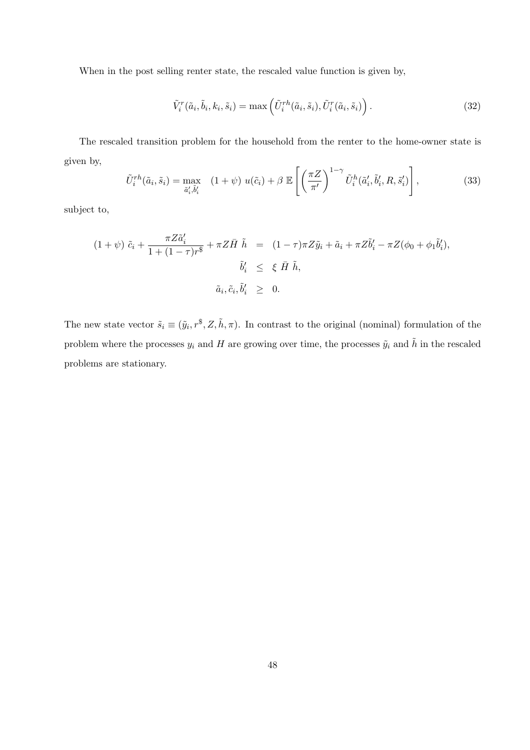When in the post selling renter state, the rescaled value function is given by,

$$
\tilde{V}_i^r(\tilde{a}_i, \tilde{b}_i, k_i, \tilde{s}_i) = \max\left(\tilde{U}_i^{rh}(\tilde{a}_i, \tilde{s}_i), \tilde{U}_i^r(\tilde{a}_i, \tilde{s}_i)\right).
$$
\n(32)

The rescaled transition problem for the household from the renter to the home-owner state is given by,  $\overline{a}$ 

$$
\tilde{U}_i^{rh}(\tilde{a}_i, \tilde{s}_i) = \max_{\tilde{a}'_i, \tilde{b}'_i} \quad (1 + \psi) \ u(\tilde{c}_i) + \beta \ \mathbb{E}\left[\left(\frac{\pi Z}{\pi'}\right)^{1-\gamma} \tilde{U}_i^h(\tilde{a}'_i, \tilde{b}'_i, R, \tilde{s}'_i)\right],\tag{33}
$$

subject to,

$$
(1 + \psi) \tilde{c}_i + \frac{\pi Z \tilde{a}'_i}{1 + (1 - \tau)r^{\$}} + \pi Z \bar{H} \tilde{h} = (1 - \tau)\pi Z \tilde{y}_i + \tilde{a}_i + \pi Z \tilde{b}'_i - \pi Z (\phi_0 + \phi_1 \tilde{b}'_i),
$$
  

$$
\tilde{b}'_i \leq \xi \bar{H} \tilde{h},
$$
  

$$
\tilde{a}_i, \tilde{c}_i, \tilde{b}'_i \geq 0.
$$

The new state vector  $\tilde{s}_i \equiv (\tilde{y}_i, r^*, Z, \tilde{h}, \pi)$ . In contrast to the original (nominal) formulation of the problem where the processes  $y_i$  and *H* are growing over time, the processes  $\tilde{y}_i$  and  $\tilde{h}$  in the rescaled problems are stationary.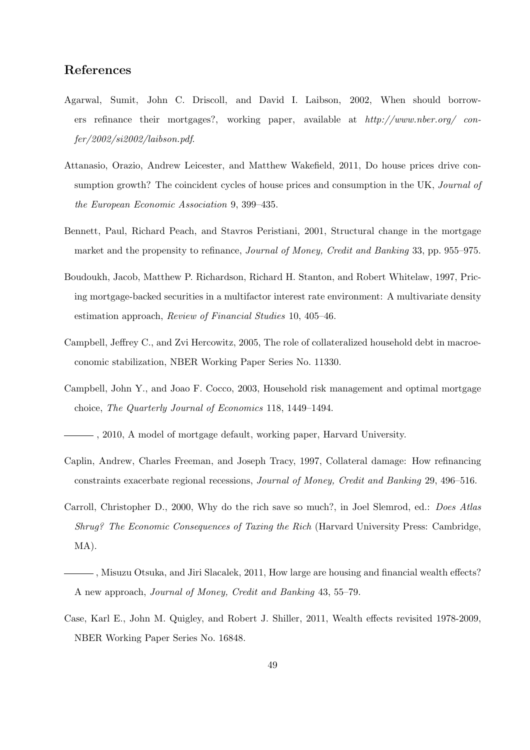# References

- Agarwal, Sumit, John C. Driscoll, and David I. Laibson, 2002, When should borrowers refinance their mortgages?, working paper, available at *http://www.nber.org/ confer/2002/si2002/laibson.pdf*.
- Attanasio, Orazio, Andrew Leicester, and Matthew Wakefield, 2011, Do house prices drive consumption growth? The coincident cycles of house prices and consumption in the UK, *Journal of the European Economic Association* 9, 399–435.
- Bennett, Paul, Richard Peach, and Stavros Peristiani, 2001, Structural change in the mortgage market and the propensity to refinance, *Journal of Money, Credit and Banking* 33, pp. 955–975.
- Boudoukh, Jacob, Matthew P. Richardson, Richard H. Stanton, and Robert Whitelaw, 1997, Pricing mortgage-backed securities in a multifactor interest rate environment: A multivariate density estimation approach, *Review of Financial Studies* 10, 405–46.
- Campbell, Jeffrey C., and Zvi Hercowitz, 2005, The role of collateralized household debt in macroeconomic stabilization, NBER Working Paper Series No. 11330.
- Campbell, John Y., and Joao F. Cocco, 2003, Household risk management and optimal mortgage choice, *The Quarterly Journal of Economics* 118, 1449–1494.
- $\longrightarrow$ , 2010, A model of mortgage default, working paper, Harvard University.
- Caplin, Andrew, Charles Freeman, and Joseph Tracy, 1997, Collateral damage: How refinancing constraints exacerbate regional recessions, *Journal of Money, Credit and Banking* 29, 496–516.
- Carroll, Christopher D., 2000, Why do the rich save so much?, in Joel Slemrod, ed.: *Does Atlas Shrug? The Economic Consequences of Taxing the Rich* (Harvard University Press: Cambridge, MA).
- $\frac{1}{10}$ , Misuzu Otsuka, and Jiri Slacalek, 2011, How large are housing and financial wealth effects? A new approach, *Journal of Money, Credit and Banking* 43, 55–79.
- Case, Karl E., John M. Quigley, and Robert J. Shiller, 2011, Wealth effects revisited 1978-2009, NBER Working Paper Series No. 16848.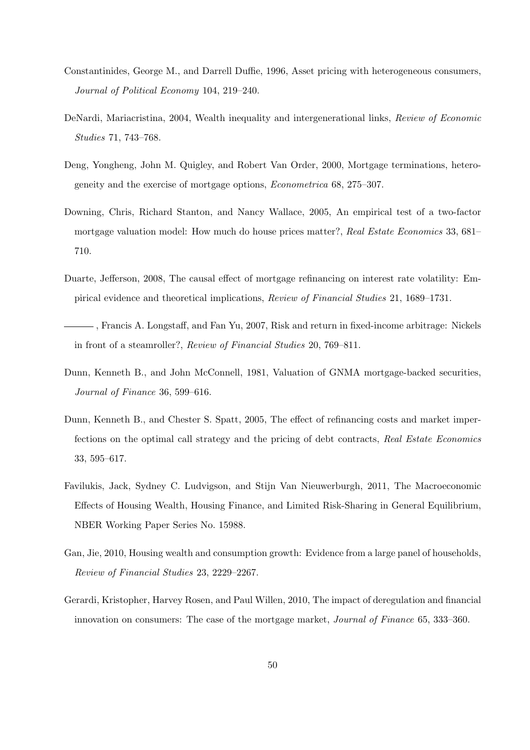- Constantinides, George M., and Darrell Duffie, 1996, Asset pricing with heterogeneous consumers, *Journal of Political Economy* 104, 219–240.
- DeNardi, Mariacristina, 2004, Wealth inequality and intergenerational links, *Review of Economic Studies* 71, 743–768.
- Deng, Yongheng, John M. Quigley, and Robert Van Order, 2000, Mortgage terminations, heterogeneity and the exercise of mortgage options, *Econometrica* 68, 275–307.
- Downing, Chris, Richard Stanton, and Nancy Wallace, 2005, An empirical test of a two-factor mortgage valuation model: How much do house prices matter?, *Real Estate Economics* 33, 681– 710.
- Duarte, Jefferson, 2008, The causal effect of mortgage refinancing on interest rate volatility: Empirical evidence and theoretical implications, *Review of Financial Studies* 21, 1689–1731.
- , Francis A. LongstaÆ, and Fan Yu, 2007, Risk and return in fixed-income arbitrage: Nickels in front of a steamroller?, *Review of Financial Studies* 20, 769–811.
- Dunn, Kenneth B., and John McConnell, 1981, Valuation of GNMA mortgage-backed securities, *Journal of Finance* 36, 599–616.
- Dunn, Kenneth B., and Chester S. Spatt, 2005, The effect of refinancing costs and market imperfections on the optimal call strategy and the pricing of debt contracts, *Real Estate Economics* 33, 595–617.
- Favilukis, Jack, Sydney C. Ludvigson, and Stijn Van Nieuwerburgh, 2011, The Macroeconomic EÆects of Housing Wealth, Housing Finance, and Limited Risk-Sharing in General Equilibrium, NBER Working Paper Series No. 15988.
- Gan, Jie, 2010, Housing wealth and consumption growth: Evidence from a large panel of households, *Review of Financial Studies* 23, 2229–2267.
- Gerardi, Kristopher, Harvey Rosen, and Paul Willen, 2010, The impact of deregulation and financial innovation on consumers: The case of the mortgage market, *Journal of Finance* 65, 333–360.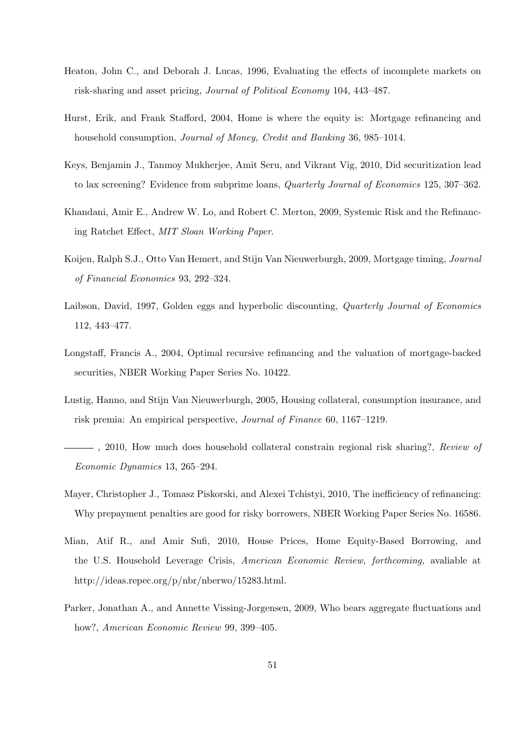- Heaton, John C., and Deborah J. Lucas, 1996, Evaluating the effects of incomplete markets on risk-sharing and asset pricing, *Journal of Political Economy* 104, 443–487.
- Hurst, Erik, and Frank Stafford, 2004, Home is where the equity is: Mortgage refinancing and household consumption, *Journal of Money, Credit and Banking* 36, 985–1014.
- Keys, Benjamin J., Tanmoy Mukherjee, Amit Seru, and Vikrant Vig, 2010, Did securitization lead to lax screening? Evidence from subprime loans, *Quarterly Journal of Economics* 125, 307–362.
- Khandani, Amir E., Andrew W. Lo, and Robert C. Merton, 2009, Systemic Risk and the Refinancing Ratchet EÆect, *MIT Sloan Working Paper*.
- Koijen, Ralph S.J., Otto Van Hemert, and Stijn Van Nieuwerburgh, 2009, Mortgage timing, *Journal of Financial Economics* 93, 292–324.
- Laibson, David, 1997, Golden eggs and hyperbolic discounting, *Quarterly Journal of Economics* 112, 443–477.
- LongstaÆ, Francis A., 2004, Optimal recursive refinancing and the valuation of mortgage-backed securities, NBER Working Paper Series No. 10422.
- Lustig, Hanno, and Stijn Van Nieuwerburgh, 2005, Housing collateral, consumption insurance, and risk premia: An empirical perspective, *Journal of Finance* 60, 1167–1219.
- , 2010, How much does household collateral constrain regional risk sharing?, *Review of Economic Dynamics* 13, 265–294.
- Mayer, Christopher J., Tomasz Piskorski, and Alexei Tchistyi, 2010. The inefficiency of refinancing: Why prepayment penalties are good for risky borrowers, NBER Working Paper Series No. 16586.
- Mian, Atif R., and Amir Sufi, 2010, House Prices, Home Equity-Based Borrowing, and the U.S. Household Leverage Crisis, *American Economic Review, forthcoming,* avaliable at http://ideas.repec.org/p/nbr/nberwo/15283.html.
- Parker, Jonathan A., and Annette Vissing-Jorgensen, 2009, Who bears aggregate fluctuations and how?, *American Economic Review* 99, 399–405.